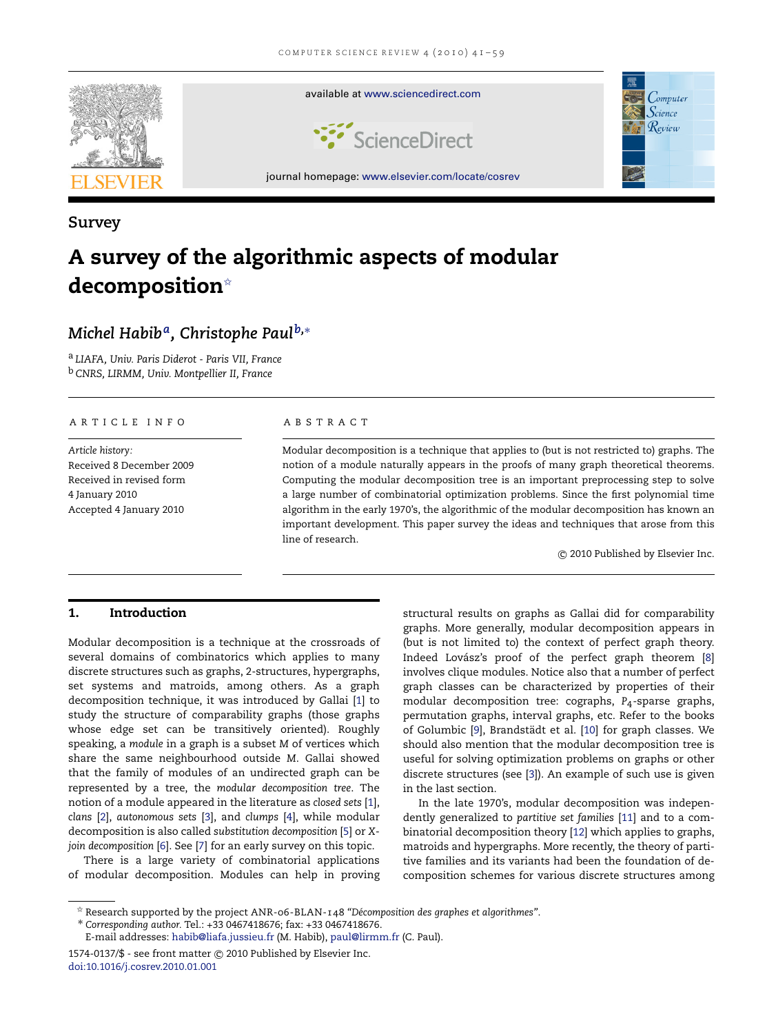

# **Survey**

# A survey of the algorithmic aspects of modular decomposition<sup>\*</sup>

# *Michel Habib[a,](#page-0-1) Christophe Pau[lb,](#page-0-2)*[∗](#page-0-3)

<span id="page-0-2"></span><span id="page-0-1"></span><sup>a</sup> *LIAFA, Univ. Paris Diderot - Paris VII, France* <sup>b</sup> *CNRS, LIRMM, Univ. Montpellier II, France*

#### A R T I C L E I N F O

*Article history:* Received 8 December 2009 Received in revised form 4 January 2010 Accepted 4 January 2010

#### A B S T R A C T

Modular decomposition is a technique that applies to (but is not restricted to) graphs. The notion of a module naturally appears in the proofs of many graph theoretical theorems. Computing the modular decomposition tree is an important preprocessing step to solve a large number of combinatorial optimization problems. Since the first polynomial time algorithm in the early 1970's, the algorithmic of the modular decomposition has known an important development. This paper survey the ideas and techniques that arose from this line of research.

© 2010 Published by Elsevier Inc.

# 1. Introduction

Modular decomposition is a technique at the crossroads of several domains of combinatorics which applies to many discrete structures such as graphs, 2-structures, hypergraphs, set systems and matroids, among others. As a graph decomposition technique, it was introduced by Gallai [\[1\]](#page-16-0) to study the structure of comparability graphs (those graphs whose edge set can be transitively oriented). Roughly speaking, a *module* in a graph is a subset *M* of vertices which share the same neighbourhood outside *M*. Gallai showed that the family of modules of an undirected graph can be represented by a tree, the *modular decomposition tree*. The notion of a module appeared in the literature as *closed sets* [\[1\]](#page-16-0), *clans* [\[2\]](#page-16-1), *autonomous sets* [\[3\]](#page-16-2), and *clumps* [\[4\]](#page-16-3), while modular decomposition is also called *substitution decomposition* [\[5\]](#page-16-4) or *Xjoin decomposition* [\[6\]](#page-16-5). See [\[7\]](#page-16-6) for an early survey on this topic.

There is a large variety of combinatorial applications of modular decomposition. Modules can help in proving

structural results on graphs as Gallai did for comparability graphs. More generally, modular decomposition appears in (but is not limited to) the context of perfect graph theory. Indeed Lovász's proof of the perfect graph theorem [\[8\]](#page-16-7) involves clique modules. Notice also that a number of perfect graph classes can be characterized by properties of their modular decomposition tree: cographs, *P*4-sparse graphs, permutation graphs, interval graphs, etc. Refer to the books of Golumbic [\[9\]](#page-16-8), Brandstädt et al. [\[10\]](#page-16-9) for graph classes. We should also mention that the modular decomposition tree is useful for solving optimization problems on graphs or other discrete structures (see [\[3\]](#page-16-2)). An example of such use is given in the last section.

In the late 1970's, modular decomposition was independently generalized to *partitive set families* [\[11\]](#page-16-10) and to a combinatorial decomposition theory [\[12\]](#page-16-11) which applies to graphs, matroids and hypergraphs. More recently, the theory of partitive families and its variants had been the foundation of decomposition schemes for various discrete structures among

<span id="page-0-0"></span><sup>✩</sup> Research supported by the project ANR-06-BLAN-148 *"Décomposition des graphes et algorithmes"*.

<span id="page-0-3"></span><sup>∗</sup> *Corresponding author.* Tel.: +33 0467418676; fax: +33 0467418676.

E-mail addresses: [habib@liafa.jussieu.fr](mailto:habib@liafa.jussieu.fr) (M. Habib), [paul@lirmm.fr](mailto:paul@lirmm.fr) (C. Paul).

<sup>1574-0137/\$ -</sup> see front matter  $\circledcirc$  2010 Published by Elsevier Inc. [doi:10.1016/j.cosrev.2010.01.001](http://dx.doi.org/10.1016/j.cosrev.2010.01.001)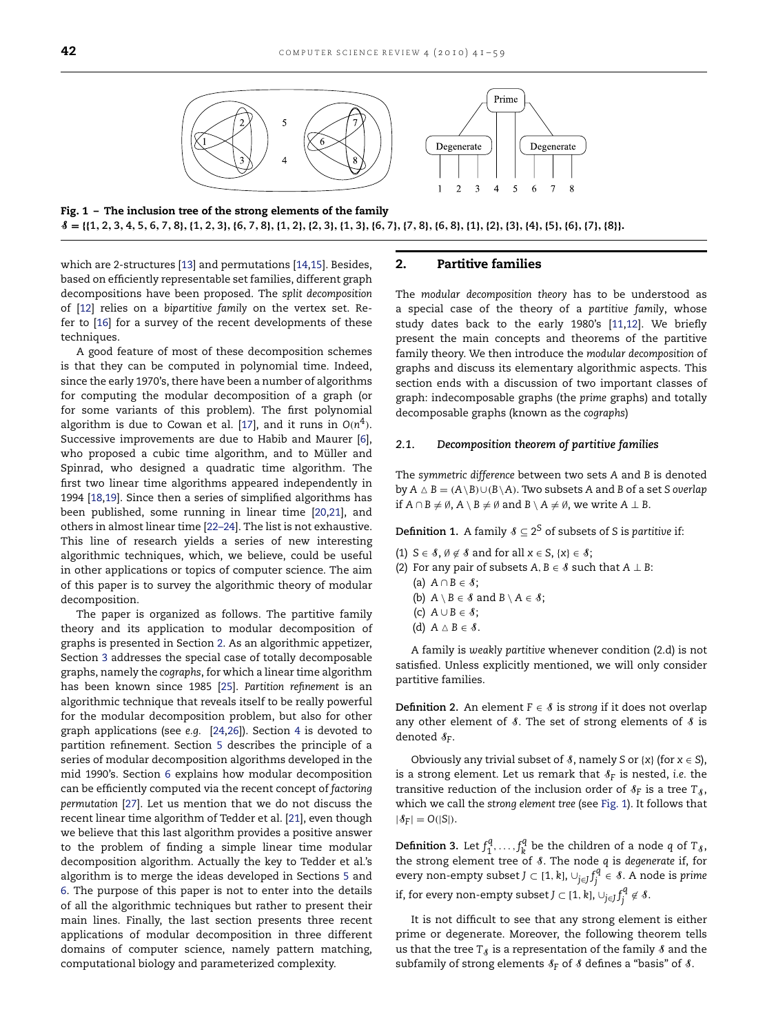<span id="page-1-0"></span>



Fig. 1 – The inclusion tree of the strong elements of the family  $\delta = \{(1, 2, 3, 4, 5, 6, 7, 8), (1, 2, 3), (6, 7, 8), (1, 2), (2, 3), (1, 3), (6, 7), (7, 8), (6, 8), (1), (2), (3), (4), (5), (6), (7), (8)\}.$ 

which are 2-structures [\[13\]](#page-16-12) and permutations [\[14,](#page-16-13)[15\]](#page-16-14). Besides, based on efficiently representable set families, different graph decompositions have been proposed. The *split decomposition* of [\[12\]](#page-16-11) relies on a *bipartitive family* on the vertex set. Refer to [\[16\]](#page-16-15) for a survey of the recent developments of these techniques.

A good feature of most of these decomposition schemes is that they can be computed in polynomial time. Indeed, since the early 1970's, there have been a number of algorithms for computing the modular decomposition of a graph (or for some variants of this problem). The first polynomial algorithm is due to Cowan et al. [\[17\]](#page-16-16), and it runs in  $O(n^4)$ . Successive improvements are due to Habib and Maurer [\[6\]](#page-16-5), who proposed a cubic time algorithm, and to Müller and Spinrad, who designed a quadratic time algorithm. The first two linear time algorithms appeared independently in 1994 [\[18,](#page-16-17)[19\]](#page-16-18). Since then a series of simplified algorithms has been published, some running in linear time [\[20,](#page-16-19)[21\]](#page-16-20), and others in almost linear time [\[22–24\]](#page-16-21). The list is not exhaustive. This line of research yields a series of new interesting algorithmic techniques, which, we believe, could be useful in other applications or topics of computer science. The aim of this paper is to survey the algorithmic theory of modular decomposition.

The paper is organized as follows. The partitive family theory and its application to modular decomposition of graphs is presented in Section [2.](#page-1-1) As an algorithmic appetizer, Section [3](#page-5-0) addresses the special case of totally decomposable graphs, namely the *cographs*, for which a linear time algorithm has been known since 1985 [\[25\]](#page-16-22). *Partition refinement* is an algorithmic technique that reveals itself to be really powerful for the modular decomposition problem, but also for other graph applications (see *e.g.* [\[24](#page-16-23)[,26\]](#page-16-24)). Section [4](#page-7-0) is devoted to partition refinement. Section [5](#page-9-0) describes the principle of a series of modular decomposition algorithms developed in the mid 1990's. Section [6](#page-11-0) explains how modular decomposition can be efficiently computed via the recent concept of *factoring permutation* [\[27\]](#page-16-25). Let us mention that we do not discuss the recent linear time algorithm of Tedder et al. [\[21\]](#page-16-20), even though we believe that this last algorithm provides a positive answer to the problem of finding a simple linear time modular decomposition algorithm. Actually the key to Tedder et al.'s algorithm is to merge the ideas developed in Sections [5](#page-9-0) and [6.](#page-11-0) The purpose of this paper is not to enter into the details of all the algorithmic techniques but rather to present their main lines. Finally, the last section presents three recent applications of modular decomposition in three different domains of computer science, namely pattern matching, computational biology and parameterized complexity.

# <span id="page-1-1"></span>2. Partitive families

The *modular decomposition theory* has to be understood as a special case of the theory of a *partitive family*, whose study dates back to the early 1980's [\[11,](#page-16-10)[12\]](#page-16-11). We briefly present the main concepts and theorems of the partitive family theory. We then introduce the *modular decomposition* of graphs and discuss its elementary algorithmic aspects. This section ends with a discussion of two important classes of graph: indecomposable graphs (the *prime* graphs) and totally decomposable graphs (known as the *cographs*)

# <span id="page-1-2"></span>*2.1. Decomposition theorem of partitive families*

The *symmetric difference* between two sets *A* and *B* is denoted  $\overline{b}$  *B*  $\overline{A}$   $\Delta$  *B* = (*A* \ *B*)∪(*B* \ *A*). Two subsets *A* and *B* of a set *S overlap* if *A* ∩ *B*  $\neq$  Ø, *A* \ *B*  $\neq$  Ø and *B* \ *A*  $\neq$  Ø, we write *A* ⊥ *B*.

<span id="page-1-3"></span>**Definition 1.** A family  $S \subset 2^S$  of subsets of *S* is *partitive* if:

- (1) *S*  $\in$  *S*,  $\emptyset \notin$  *S* and for all *x*  $\in$  *S*, {*x*}  $\in$  *S*;
- (2) For any pair of subsets  $A, B \in \mathcal{S}$  such that  $A \perp B$ :
	- (a)  $A \cap B \in \mathcal{S}$ ;
	- (b)  $A \setminus B \in \mathcal{S}$  and  $B \setminus A \in \mathcal{S}$ ;
	- $(c)$   $A \cup B \in \mathcal{S}$ ;
	- (d)  $A \triangle B \in \mathcal{S}$ .

A family is *weakly partitive* whenever condition (2.d) is not satisfied. Unless explicitly mentioned, we will only consider partitive families.

**Definition 2.** An element  $F \in \mathcal{S}$  is *strong* if it does not overlap any other element of  $\delta$ . The set of strong elements of  $\delta$  is denoted S*F*.

Obviously any trivial subset of  $\delta$ , namely *S* or  $\{x\}$  (for  $x \in S$ ), is a strong element. Let us remark that  $\delta_F$  is nested, *i.e.* the transitive reduction of the inclusion order of  $\delta_F$  is a tree  $T<sub>g</sub>$ , which we call the *strong element tree* (see [Fig. 1\)](#page-1-0). It follows that  $|\mathcal{S}_F| = O(|S|).$ 

**Definition 3.** Let  $f_1^q, \ldots, f_k^q$  be the children of a node *q* of  $T_s$ , the strong element tree of S. The node *q* is *degenerate* if, for every non-empty subset *<sup>J</sup>* <sup>⊂</sup> [1, *<sup>k</sup>*], <sup>∪</sup>*j*∈*<sup>J</sup> <sup>f</sup> q <sup>j</sup>* <sup>∈</sup> S. A node is *prime* if, for every non-empty subset  $J \subset [1, k]$ ,  $\cup_{j \in J} f_j^q \not \in \mathcal{S}.$ 

It is not difficult to see that any strong element is either prime or degenerate. Moreover, the following theorem tells us that the tree  $T_{\mathcal{S}}$  is a representation of the family  $\mathcal{S}$  and the subfamily of strong elements  $\delta_F$  of  $\delta$  defines a "basis" of  $\delta$ .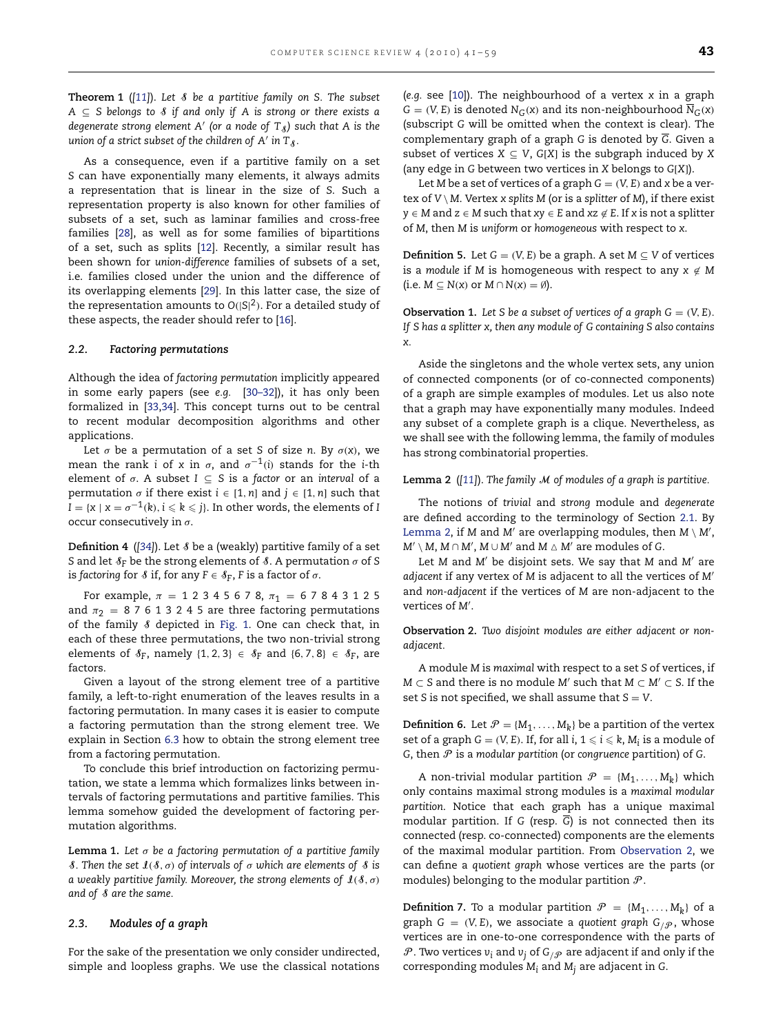<span id="page-2-3"></span>**Theorem 1** (*[\[11\]](#page-16-10)*). *Let* S *be a partitive family on S. The subset A* ⊆ *S belongs to* S *if and only if A is strong or there exists a degenerate strong element A'* (or a node of  $T<sub>s</sub>$ ) such that A is the *union of a strict subset of the children of*  $A'$  *in*  $T_A$ .

As a consequence, even if a partitive family on a set *S* can have exponentially many elements, it always admits a representation that is linear in the size of *S*. Such a representation property is also known for other families of subsets of a set, such as laminar families and cross-free families [\[28\]](#page-16-26), as well as for some families of bipartitions of a set, such as splits [\[12\]](#page-16-11). Recently, a similar result has been shown for *union-difference* families of subsets of a set, i.e. families closed under the union and the difference of its overlapping elements [\[29\]](#page-16-27). In this latter case, the size of the representation amounts to *O*(|*S*| <sup>2</sup>). For a detailed study of these aspects, the reader should refer to [\[16\]](#page-16-15).

#### <span id="page-2-5"></span>*2.2. Factoring permutations*

Although the idea of *factoring permutation* implicitly appeared in some early papers (see *e.g.* [\[30–32\]](#page-16-28)), it has only been formalized in [\[33,](#page-16-29)[34\]](#page-16-30). This concept turns out to be central to recent modular decomposition algorithms and other applications.

Let  $\sigma$  be a permutation of a set *S* of size *n*. By  $\sigma(x)$ , we mean the rank *i* of *x* in  $\sigma$ , and  $\sigma^{-1}(i)$  stands for the *i*-th element of σ. A subset *I* ⊆ *S* is a *factor* or an *interval* of a permutation  $\sigma$  if there exist  $i \in [1, n]$  and  $j \in [1, n]$  such that *I* = {*x* | *x* =  $\sigma^{-1}(k)$ , *i*  $\le k \le j$ }. In other words, the elements of *I* occur consecutively in  $\sigma$ .

<span id="page-2-4"></span>**Definition 4** ( $[34]$ ). Let  $\delta$  be a (weakly) partitive family of a set *S* and let  $\delta_F$  be the strong elements of  $\delta$ . A permutation  $\sigma$  of *S* is *factoring* for  $\delta$  if, for any  $F \in \mathcal{S}_F$ , *F* is a factor of  $\sigma$ .

For example,  $\pi = 12345678$ ,  $\pi_1 = 67843125$ and  $\pi_2$  = 8 7 6 1 3 2 4 5 are three factoring permutations of the family  $\delta$  depicted in [Fig. 1.](#page-1-0) One can check that, in each of these three permutations, the two non-trivial strong elements of  $\delta_F$ , namely  $\{1, 2, 3\} \in \delta_F$  and  $\{6, 7, 8\} \in \delta_F$ , are factors.

Given a layout of the strong element tree of a partitive family, a left-to-right enumeration of the leaves results in a factoring permutation. In many cases it is easier to compute a factoring permutation than the strong element tree. We explain in Section [6.3](#page-12-0) how to obtain the strong element tree from a factoring permutation.

To conclude this brief introduction on factorizing permutation, we state a lemma which formalizes links between intervals of factoring permutations and partitive families. This lemma somehow guided the development of factoring permutation algorithms.

<span id="page-2-7"></span>**Lemma 1.** *Let* σ *be a factoring permutation of a partitive family* S*. Then the set* I(S, σ) *of intervals of* σ *which are elements of* S *is a weakly partitive family. Moreover, the strong elements of*  $I(\delta, \sigma)$ *and of* S *are the same.*

#### <span id="page-2-6"></span>*2.3. Modules of a graph*

For the sake of the presentation we only consider undirected, simple and loopless graphs. We use the classical notations (*e.g.* see [\[10\]](#page-16-9)). The neighbourhood of a vertex *x* in a graph  $G = (V, E)$  is denoted  $N_G(x)$  and its non-neighbourhood  $\overline{N}_G(x)$ (subscript *G* will be omitted when the context is clear). The complementary graph of a graph *G* is denoted by *G*. Given a subset of vertices  $X \subseteq V$ ,  $G[X]$  is the subgraph induced by X (any edge in *G* between two vertices in *X* belongs to *G*[*X*]).

Let *M* be a set of vertices of a graph  $G = (V, E)$  and *x* be a vertex of  $V \setminus M$ . Vertex x splits M (or is a splitter of M), if there exist *y* ∈ *M* and *z* ∈ *M* such that *xy* ∈ *E* and *xz* ∉ *E*. If *x* is not a splitter of *M*, then *M* is *uniform* or *homogeneous* with respect to *x*.

**Definition 5.** Let  $G = (V, E)$  be a graph. A set  $M \subseteq V$  of vertices is a *module* if *M* is homogeneous with respect to any  $x \notin M$  $(i.e. M \subseteq N(x) \text{ or } M \cap N(x) = \emptyset).$ 

<span id="page-2-2"></span>**Observation 1.** Let *S* be a subset of vertices of a graph  $G = (V, E)$ . *If S has a splitter x, then any module of G containing S also contains x.*

Aside the singletons and the whole vertex sets, any union of connected components (or of co-connected components) of a graph are simple examples of modules. Let us also note that a graph may have exponentially many modules. Indeed any subset of a complete graph is a clique. Nevertheless, as we shall see with the following lemma, the family of modules has strong combinatorial properties.

## <span id="page-2-1"></span>**Lemma 2** (*[\[11\]](#page-16-10)*). *The family* M *of modules of a graph is partitive.*

The notions of *trivial* and *strong* module and *degenerate* are defined according to the terminology of Section [2.1.](#page-1-2) By [Lemma 2,](#page-2-1) if M and M' are overlapping modules, then  $M \setminus M'$ ,  $M' \setminus M$ ,  $M \cap M'$ ,  $M \cup M'$  and  $M \triangle M'$  are modules of *G*.

Let *M* and *M'* be disjoint sets. We say that *M* and *M'* are *adjacent* if any vertex of *M* is adjacent to all the vertices of *M*+ and *non-adjacent* if the vertices of *M* are non-adjacent to the vertices of M'.

<span id="page-2-0"></span>**Observation 2.** *Two disjoint modules are either adjacent or nonadjacent.*

A module *M* is *maximal* with respect to a set *S* of vertices, if *M* ⊂ *S* and there is no module *M*<sup> $\prime$ </sup> such that *M* ⊂ *M*<sup> $\prime$ </sup> ⊂ *S*. If the set *S* is not specified, we shall assume that  $S = V$ .

**Definition 6.** Let  $\mathcal{P} = \{M_1, \ldots, M_k\}$  be a partition of the vertex set of a graph  $G = (V, E)$ . If, for all  $i, 1 \leq i \leq k$ ,  $M_i$  is a module of *G*, then P is a *modular partition* (or *congruence* partition) of *G*.

A non-trivial modular partition  $\mathcal{P} = \{M_1, \ldots, M_k\}$  which only contains maximal strong modules is a *maximal modular partition*. Notice that each graph has a unique maximal modular partition. If *G* (resp. *G*) is not connected then its connected (resp. co-connected) components are the elements of the maximal modular partition. From [Observation 2,](#page-2-0) we can define a *quotient graph* whose vertices are the parts (or modules) belonging to the modular partition  $P$ .

**Definition 7.** To a modular partition  $\mathcal{P} = \{M_1, \ldots, M_k\}$  of a graph  $G = (V, E)$ , we associate a quotient graph  $G_{\beta}$ , whose vertices are in one-to-one correspondence with the parts of  $P$ . Two vertices  $v_i$  and  $v_j$  of  $G_{/\mathcal{P}}$  are adjacent if and only if the corresponding modules *Mi* and *Mj* are adjacent in *G*.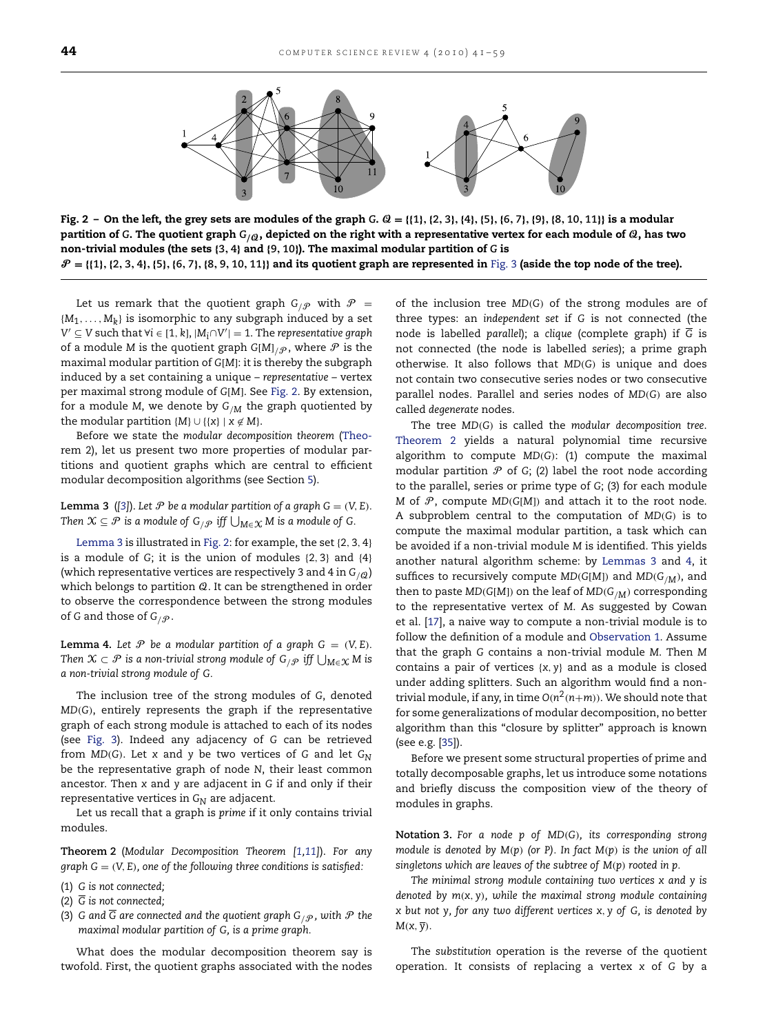<span id="page-3-0"></span>

Fig. 2 – On the left, the grey sets are modules of the graph *G*. Q = {{**1**},{**2**, **3**},{**4**},{**5**},{**6**, **7**},{**9**},{**8**, **10**, **11**}} is a modular partition of *G*. The quotient graph  $G_{/Q}$ , depicted on the right with a representative vertex for each module of  $Q$ , has two non-trivial modules (the sets {**3**, **4**} and {**9**, **10**}). The maximal modular partition of *G* is  $\mathcal{P} = \{ \{1\}, \{2, 3, 4\}, \{5\}, \{6, 7\}, \{8, 9, 10, 11\} \}$  and its quotient graph are represented in [Fig. 3](#page-4-0) (aside the top node of the tree).

Let us remark that the quotient graph  $G_{/\mathcal{P}}$  with  $\mathcal{P}$  =  ${M_1, \ldots, M_k}$  is isomorphic to any subgraph induced by a set *V*<sup>+</sup> ⊆ *V* such that ∀*i* ∈ [1, *k*], |*Mi*∩*V*<sup>+</sup> | = 1. The *representative graph* of a module *M* is the quotient graph  $G[M]/p$ , where P is the maximal modular partition of *G*[*M*]: it is thereby the subgraph induced by a set containing a unique – *representative* – vertex per maximal strong module of *G*[*M*]. See [Fig. 2.](#page-3-0) By extension, for a module *M*, we denote by *G*/*M* the graph quotiented by the modular partition  ${M} \cup { {x} \mid x \notin M }$ .

Before we state the *modular decomposition theorem* [\(Theo](#page-3-1)[rem 2\)](#page-3-1), let us present two more properties of modular partitions and quotient graphs which are central to efficient modular decomposition algorithms (see Section [5\)](#page-9-0).

<span id="page-3-2"></span>**Lemma 3** ([\[3\]](#page-16-2)). Let  $\mathcal{P}$  be a modular partition of a graph  $G = (V, E)$ .  $\mathcal{X} \subseteq \mathcal{P}$  is a module of  $G_{/\mathcal{P}}$  iff  $\bigcup_{M \in \mathcal{X}} M$  is a module of  $G$ .

[Lemma 3](#page-3-2) is illustrated in [Fig. 2:](#page-3-0) for example, the set {2, 3, 4} is a module of *G*; it is the union of modules {2, 3} and {4} (which representative vertices are respectively 3 and 4 in  $G_{/Q}$ ) which belongs to partition  $Q$ . It can be strengthened in order to observe the correspondence between the strong modules of *G* and those of  $G_{/\mathcal{P}}$ .

<span id="page-3-3"></span>**Lemma 4.** Let  $P$  be a modular partition of a graph  $G = (V, E)$ . *Then*  $X \subset \mathcal{P}$  *is a non-trivial strong module of*  $G_{/\mathcal{P}}$  *iff*  $\bigcup_{M \in \mathcal{X}} M$  *is a non-trivial strong module of G.*

The inclusion tree of the strong modules of *G*, denoted *MD*(*G*), entirely represents the graph if the representative graph of each strong module is attached to each of its nodes (see [Fig. 3\)](#page-4-0). Indeed any adjacency of *G* can be retrieved from *MD*(*G*). Let *x* and *y* be two vertices of *G* and let *GN* be the representative graph of node *N*, their least common ancestor. Then *x* and *y* are adjacent in *G* if and only if their representative vertices in *GN* are adjacent.

Let us recall that a graph is *prime* if it only contains trivial modules.

<span id="page-3-1"></span>**Theorem 2** (*Modular Decomposition Theorem [\[1](#page-16-0)[,11\]](#page-16-10)*). *For any graph G* = (*V*, *E*)*, one of the following three conditions is satisfied:*

- (1) *G is not connected;*
- (2) *G is not connected;*
- (3) *G* and  $\overline{G}$  are connected and the quotient graph  $G_{\beta}$ , with  $\mathcal P$  the *maximal modular partition of G, is a prime graph.*

What does the modular decomposition theorem say is twofold. First, the quotient graphs associated with the nodes of the inclusion tree *MD*(*G*) of the strong modules are of three types: an *independent set* if *G* is not connected (the node is labelled *parallel*); a *clique* (complete graph) if *G* is not connected (the node is labelled *series*); a prime graph otherwise. It also follows that *MD*(*G*) is unique and does not contain two consecutive series nodes or two consecutive parallel nodes. Parallel and series nodes of *MD*(*G*) are also called *degenerate* nodes.

The tree *MD*(*G*) is called the *modular decomposition tree*. [Theorem 2](#page-3-1) yields a natural polynomial time recursive algorithm to compute *MD*(*G*): (1) compute the maximal modular partition  $P$  of  $G$ ; (2) label the root node according to the parallel, series or prime type of *G*; (3) for each module *M* of  $P$ , compute  $MD(G[M])$  and attach it to the root node. A subproblem central to the computation of *MD*(*G*) is to compute the maximal modular partition, a task which can be avoided if a non-trivial module *M* is identified. This yields another natural algorithm scheme: by [Lemmas 3](#page-3-2) and [4,](#page-3-3) it suffices to recursively compute *MD*(*G*[*M*]) and *MD*(*G*/*M*), and then to paste *MD*(*G*[*M*]) on the leaf of *MD*(*G*/*M*) corresponding to the representative vertex of *M*. As suggested by Cowan et al. [\[17\]](#page-16-16), a naive way to compute a non-trivial module is to follow the definition of a module and [Observation 1.](#page-2-2) Assume that the graph *G* contains a non-trivial module *M*. Then *M* contains a pair of vertices {*x*, *y*} and as a module is closed under adding splitters. Such an algorithm would find a nontrivial module, if any, in time  $O(n^2(n+m))$ . We should note that for some generalizations of modular decomposition, no better algorithm than this "closure by splitter" approach is known (see e.g. [\[35\]](#page-16-31)).

Before we present some structural properties of prime and totally decomposable graphs, let us introduce some notations and briefly discuss the composition view of the theory of modules in graphs.

**Notation 3.** *For a node p of MD*(*G*)*, its corresponding strong module is denoted by M*(*p*) *(or P). In fact M*(*p*) *is the union of all singletons which are leaves of the subtree of M*(*p*) *rooted in p.*

*The minimal strong module containing two vertices x and y is denoted by m*(*x*, *y*)*, while the maximal strong module containing x but not y, for any two different vertices x*, *y of G, is denoted by M*(*x*, *y*)*.*

The *substitution* operation is the reverse of the quotient operation. It consists of replacing a vertex *x* of *G* by a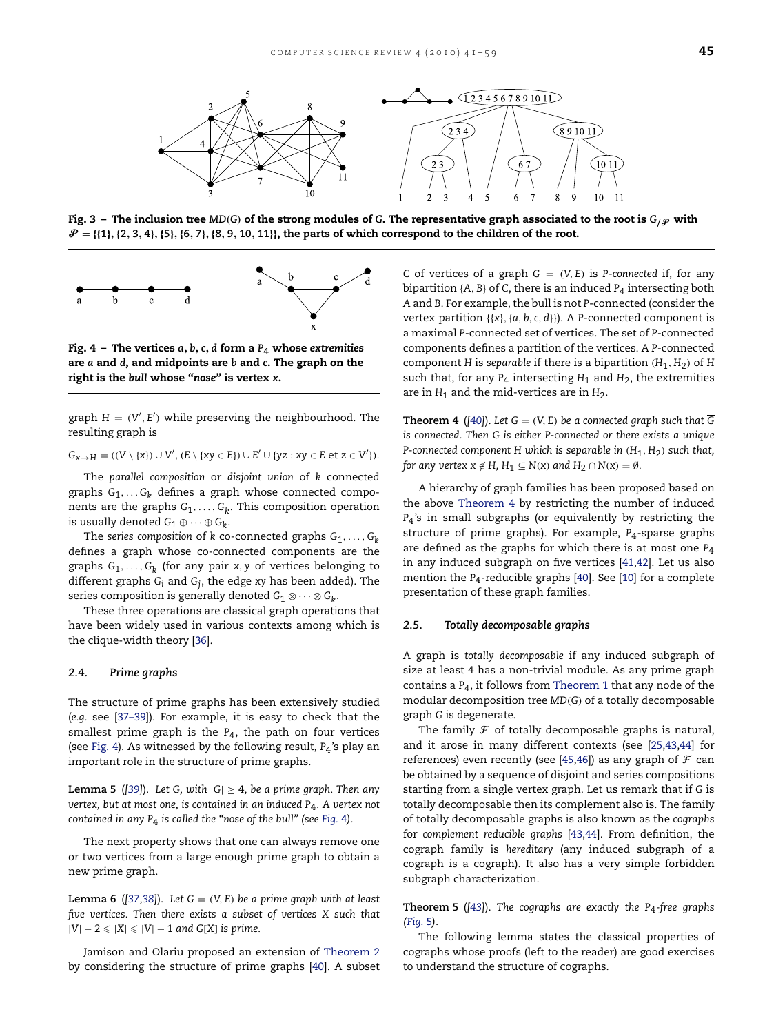<span id="page-4-0"></span>

Fig. 3 – The inclusion tree *MD*(*G*) of the strong modules of *G*. The representative graph associated to the root is  $G_{/\mathcal{P}}$  with  $P = \{(1), \{2, 3, 4\}, \{5\}, \{6, 7\}, \{8, 9, 10, 11\}\}\$ , the parts of which correspond to the children of the root.

<span id="page-4-1"></span>

Fig. 4 – The vertices  $a, b, c, d$  form a  $P_4$  whose extremities are *a* and *d*, and midpoints are *b* and *c*. The graph on the right is the *bull* whose *"nose"* is vertex *x*.

 $graph H = (V', E')$  while preserving the neighbourhood. The resulting graph is

$$
G_{X\rightarrow H} = ((V \setminus \{x\}) \cup V', (E \setminus \{xy \in E\}) \cup E' \cup \{yz : xy \in E \text{ et } z \in V'\}).
$$

The *parallel composition* or *disjoint union* of *k* connected graphs  $G_1, \ldots G_k$  defines a graph whose connected components are the graphs  $G_1, \ldots, G_k$ . This composition operation is usually denoted  $G_1 \oplus \cdots \oplus G_k$ .

The *series composition* of *k* co-connected graphs *G*1, . . . , *Gk* defines a graph whose co-connected components are the graphs  $G_1, \ldots, G_k$  (for any pair *x*, *y* of vertices belonging to different graphs *Gi* and *Gj*, the edge *xy* has been added). The series composition is generally denoted  $G_1 \otimes \cdots \otimes G_k$ .

These three operations are classical graph operations that have been widely used in various contexts among which is the clique-width theory [\[36\]](#page-16-32).

# *2.4. Prime graphs*

The structure of prime graphs has been extensively studied (*e.g.* see [\[37–39\]](#page-16-33)). For example, it is easy to check that the smallest prime graph is the *P*4, the path on four vertices (see [Fig. 4\)](#page-4-1). As witnessed by the following result, *P*4's play an important role in the structure of prime graphs.

**Lemma 5** ([\[39\]](#page-17-0)). Let G, with  $|G| \geq 4$ , be a prime graph. Then any *vertex, but at most one, is contained in an induced P*4*. A vertex not contained in any P*4 *is called the "nose of the bull" (see [Fig.](#page-4-1)* 4*).*

The next property shows that one can always remove one or two vertices from a large enough prime graph to obtain a new prime graph.

**Lemma 6** ( $[37,38]$  $[37,38]$ ). Let  $G = (V, E)$  be a prime graph with at least *five vertices. Then there exists a subset of vertices X such that*  $|V| - 2 \leq |X| \leq |V| - 1$  *and G*[*X*] *is prime.* 

Jamison and Olariu proposed an extension of [Theorem 2](#page-3-1) by considering the structure of prime graphs [\[40\]](#page-17-2). A subset *C* of vertices of a graph  $G = (V, E)$  is *P*-connected if, for any bipartition {*A*, *B*} of *C*, there is an induced *P*<sup>4</sup> intersecting both *A* and *B*. For example, the bull is not *P*-connected (consider the vertex partition  $\{\{x\}, \{a, b, c, d\}\}\)$ . A *P*-connected component is a maximal *P*-connected set of vertices. The set of *P*-connected components defines a partition of the vertices. A *P*-connected component *H* is *separable* if there is a bipartition  $(H_1, H_2)$  of *H* such that, for any  $P_4$  intersecting  $H_1$  and  $H_2$ , the extremities are in  $H_1$  and the mid-vertices are in  $H_2$ .

<span id="page-4-2"></span>**Theorem 4** ([\[40\]](#page-17-2)). Let  $G = (V, E)$  be a connected graph such that  $\overline{G}$ *is connected. Then G is either P-connected or there exists a unique P*-connected component *H* which is separable in  $(H_1, H_2)$  such that, *for any vertex*  $x \notin H$ ,  $H_1 \subseteq N(x)$  *and*  $H_2 \cap N(x) = \emptyset$ .

A hierarchy of graph families has been proposed based on the above [Theorem 4](#page-4-2) by restricting the number of induced *P*4's in small subgraphs (or equivalently by restricting the structure of prime graphs). For example, *P*4-sparse graphs are defined as the graphs for which there is at most one *P*4 in any induced subgraph on five vertices [\[41,](#page-17-3)[42\]](#page-17-4). Let us also mention the *P*4-reducible graphs [\[40\]](#page-17-2). See [\[10\]](#page-16-9) for a complete presentation of these graph families.

# <span id="page-4-4"></span>*2.5. Totally decomposable graphs*

A graph is *totally decomposable* if any induced subgraph of size at least 4 has a non-trivial module. As any prime graph contains a *P*4, it follows from [Theorem 1](#page-2-3) that any node of the modular decomposition tree *MD*(*G*) of a totally decomposable graph *G* is degenerate.

The family  $\mathcal F$  of totally decomposable graphs is natural, and it arose in many different contexts (see [\[25,](#page-16-22)[43,](#page-17-5)[44\]](#page-17-6) for references) even recently (see [\[45,](#page-17-7)[46\]](#page-17-8)) as any graph of  $\mathcal F$  can be obtained by a sequence of disjoint and series compositions starting from a single vertex graph. Let us remark that if *G* is totally decomposable then its complement also is. The family of totally decomposable graphs is also known as the *cographs* for *complement reducible graphs* [\[43](#page-17-5)[,44\]](#page-17-6). From definition, the cograph family is *hereditary* (any induced subgraph of a cograph is a cograph). It also has a very simple forbidden subgraph characterization.

<span id="page-4-3"></span>**Theorem 5** (*[\[43\]](#page-17-5)*). *The cographs are exactly the P*4*-free graphs [\(Fig.](#page-5-1)* 5*).*

The following lemma states the classical properties of cographs whose proofs (left to the reader) are good exercises to understand the structure of cographs.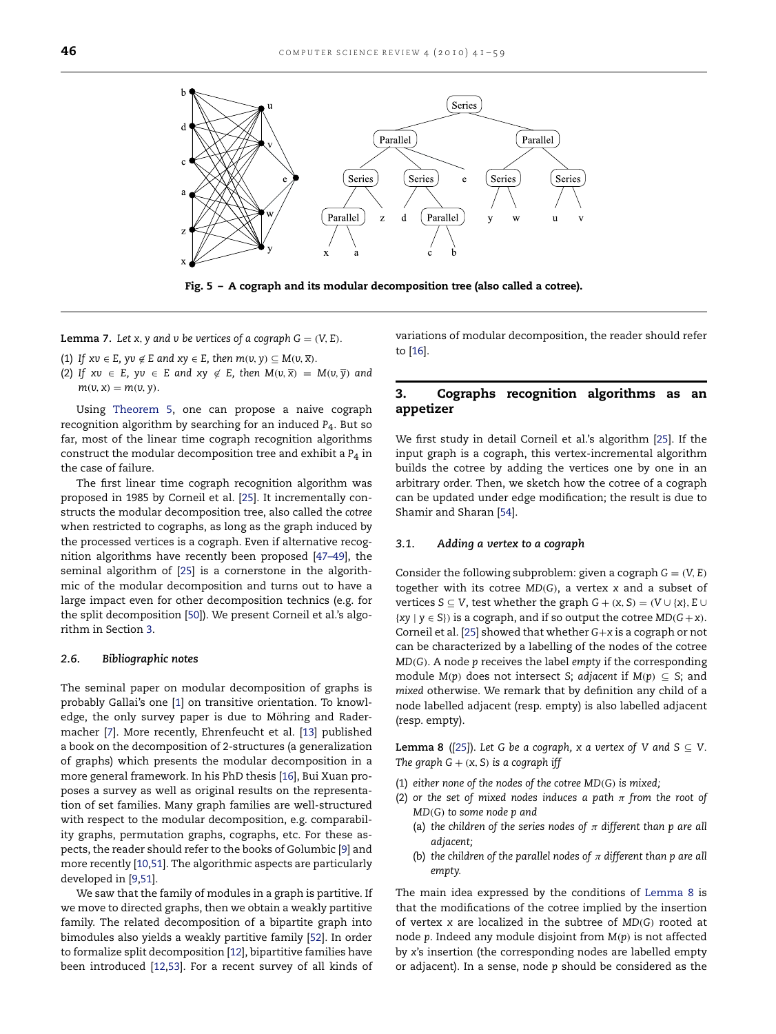<span id="page-5-1"></span>

Fig. 5 – A cograph and its modular decomposition tree (also called a cotree).

- **Lemma 7.** Let  $x$ ,  $y$  and  $v$  be vertices of a cograph  $G = (V, E)$ .
- (1) *If*  $xv \in E$ ,  $yv \notin E$  and  $xy \in E$ , then  $m(v, y) \subseteq M(v, \overline{x})$ .
- (2) If  $xv \in E$ ,  $yv \in E$  and  $xy \notin E$ , then  $M(v, \overline{x}) = M(v, \overline{y})$  and  $m(v, x) = m(v, y)$ .

Using [Theorem 5,](#page-4-3) one can propose a naive cograph recognition algorithm by searching for an induced *P*4. But so far, most of the linear time cograph recognition algorithms construct the modular decomposition tree and exhibit a *P*4 in the case of failure.

The first linear time cograph recognition algorithm was proposed in 1985 by Corneil et al. [\[25\]](#page-16-22). It incrementally constructs the modular decomposition tree, also called the *cotree* when restricted to cographs, as long as the graph induced by the processed vertices is a cograph. Even if alternative recognition algorithms have recently been proposed [\[47–49\]](#page-17-9), the seminal algorithm of [\[25\]](#page-16-22) is a cornerstone in the algorithmic of the modular decomposition and turns out to have a large impact even for other decomposition technics (e.g. for the split decomposition [\[50\]](#page-17-10)). We present Corneil et al.'s algorithm in Section [3.](#page-5-0)

# *2.6. Bibliographic notes*

The seminal paper on modular decomposition of graphs is probably Gallai's one [\[1\]](#page-16-0) on transitive orientation. To knowledge, the only survey paper is due to Möhring and Radermacher [\[7\]](#page-16-6). More recently, Ehrenfeucht et al. [\[13\]](#page-16-12) published a book on the decomposition of 2-structures (a generalization of graphs) which presents the modular decomposition in a more general framework. In his PhD thesis [\[16\]](#page-16-15), Bui Xuan proposes a survey as well as original results on the representation of set families. Many graph families are well-structured with respect to the modular decomposition, e.g. comparability graphs, permutation graphs, cographs, etc. For these aspects, the reader should refer to the books of Golumbic [\[9\]](#page-16-8) and more recently [\[10,](#page-16-9)[51\]](#page-17-11). The algorithmic aspects are particularly developed in [\[9,](#page-16-8)[51\]](#page-17-11).

We saw that the family of modules in a graph is partitive. If we move to directed graphs, then we obtain a weakly partitive family. The related decomposition of a bipartite graph into bimodules also yields a weakly partitive family [\[52\]](#page-17-12). In order to formalize split decomposition [\[12\]](#page-16-11), bipartitive families have been introduced [\[12](#page-16-11)[,53\]](#page-17-13). For a recent survey of all kinds of

variations of modular decomposition, the reader should refer to [\[16\]](#page-16-15).

# <span id="page-5-0"></span>3. Cographs recognition algorithms as an appetizer

We first study in detail Corneil et al.'s algorithm [\[25\]](#page-16-22). If the input graph is a cograph, this vertex-incremental algorithm builds the cotree by adding the vertices one by one in an arbitrary order. Then, we sketch how the cotree of a cograph can be updated under edge modification; the result is due to Shamir and Sharan [\[54\]](#page-17-14).

# *3.1. Adding a vertex to a cograph*

Consider the following subproblem: given a cograph  $G = (V, E)$ together with its cotree *MD*(*G*), a vertex *x* and a subset of vertices *S*  $\subseteq$  *V*, test whether the graph *G* + (*x*, *S*) = (*V*  $\cup$  {*x*}, *E*  $\cup$  $\{xy \mid y \in S\}$ ) is a cograph, and if so output the cotree  $MD(G + x)$ . Corneil et al. [\[25\]](#page-16-22) showed that whether *G*+*x* is a cograph or not can be characterized by a labelling of the nodes of the cotree *MD*(*G*). A node *p* receives the label *empty* if the corresponding module  $M(p)$  does not intersect *S*; *adjacent* if  $M(p) \subseteq S$ ; and *mixed* otherwise. We remark that by definition any child of a node labelled adjacent (resp. empty) is also labelled adjacent (resp. empty).

<span id="page-5-2"></span>**Lemma 8** ( $[25]$ ). Let G be a cograph, x a vertex of V and S  $\subseteq$  V. *The graph*  $G + (x, S)$  *is a cograph iff* 

- (1) *either none of the nodes of the cotree MD*(*G*) *is mixed;*
- (2) *or the set of mixed nodes induces a path* π *from the root of MD*(*G*) *to some node p and*
	- (a) *the children of the series nodes of* π *different than p are all adjacent;*
	- (b) *the children of the parallel nodes of* π *different than p are all empty.*

The main idea expressed by the conditions of [Lemma 8](#page-5-2) is that the modifications of the cotree implied by the insertion of vertex *x* are localized in the subtree of *MD*(*G*) rooted at node *p*. Indeed any module disjoint from *M*(*p*) is not affected by *x*'s insertion (the corresponding nodes are labelled empty or adjacent). In a sense, node *p* should be considered as the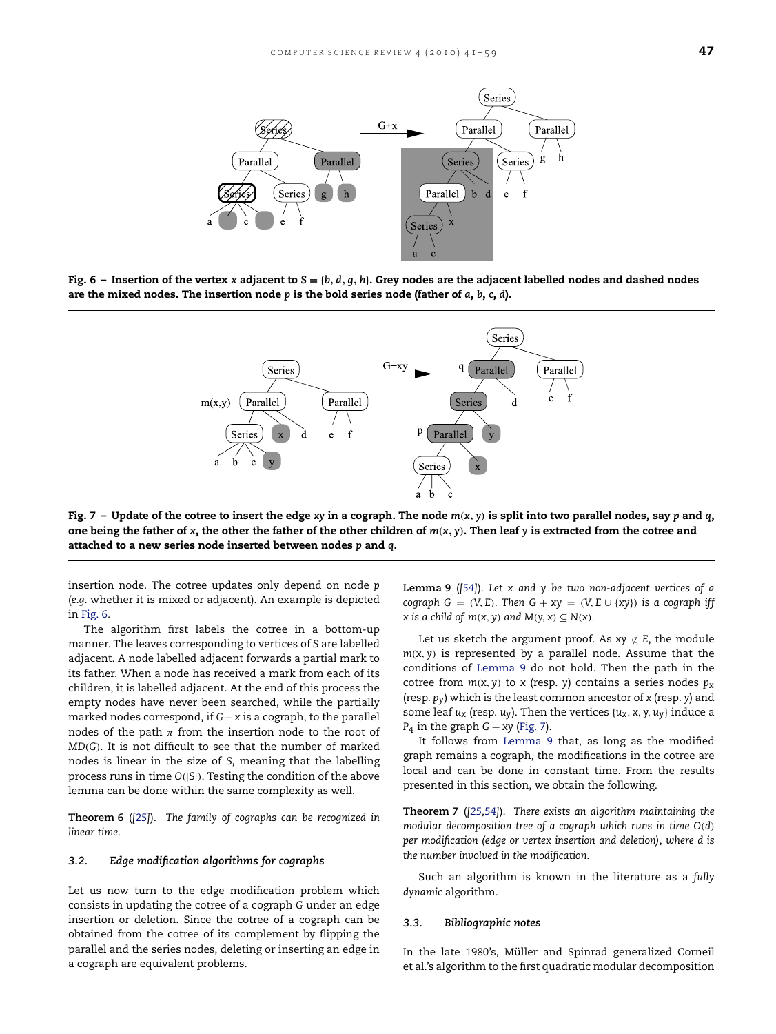<span id="page-6-0"></span>

<span id="page-6-2"></span>Fig. 6 – Insertion of the vertex *x* adjacent to  $S = \{b, d, g, h\}$ . Grey nodes are the adjacent labelled nodes and dashed nodes are the mixed nodes. The insertion node *p* is the bold series node (father of *a*, *b*, *c*, *d*).



Fig. 7 – Update of the cotree to insert the edge *xy* in a cograph. The node *m*(*x*, *y*) is split into two parallel nodes, say *p* and *q*, one being the father of *x*, the other the father of the other children of *m*(*x*, *y*). Then leaf *y* is extracted from the cotree and attached to a new series node inserted between nodes *p* and *q*.

insertion node. The cotree updates only depend on node *p* (*e.g.* whether it is mixed or adjacent). An example is depicted in [Fig. 6.](#page-6-0)

The algorithm first labels the cotree in a bottom-up manner. The leaves corresponding to vertices of *S* are labelled adjacent. A node labelled adjacent forwards a partial mark to its father. When a node has received a mark from each of its children, it is labelled adjacent. At the end of this process the empty nodes have never been searched, while the partially marked nodes correspond, if  $G + x$  is a cograph, to the parallel nodes of the path  $\pi$  from the insertion node to the root of *MD*(*G*). It is not difficult to see that the number of marked nodes is linear in the size of *S*, meaning that the labelling process runs in time *O*(|*S*|). Testing the condition of the above lemma can be done within the same complexity as well.

**Theorem 6** (*[\[25\]](#page-16-22)*). *The family of cographs can be recognized in linear time.*

### *3.2. Edge modification algorithms for cographs*

Let us now turn to the edge modification problem which consists in updating the cotree of a cograph *G* under an edge insertion or deletion. Since the cotree of a cograph can be obtained from the cotree of its complement by flipping the parallel and the series nodes, deleting or inserting an edge in a cograph are equivalent problems.

<span id="page-6-1"></span>**Lemma 9** (*[\[54\]](#page-17-14)*). *Let x and y be two non-adjacent vertices of a cograph*  $G = (V, E)$ *. Then*  $G + xy = (V, E \cup \{xy\})$  *is a cograph iff x* is a child of  $m(x, y)$  and  $M(y, \overline{x}) \subseteq N(x)$ .

Let us sketch the argument proof. As  $xy \notin E$ , the module *m*(*x*, *y*) is represented by a parallel node. Assume that the conditions of [Lemma 9](#page-6-1) do not hold. Then the path in the cotree from  $m(x, y)$  to  $x$  (resp.  $y$ ) contains a series nodes  $p_x$ (resp. *py*) which is the least common ancestor of *x* (resp. *y*) and some leaf *ux* (resp. *uy*). Then the vertices {*ux*, *x*, *y*, *uy*} induce a  $P_4$  in the graph  $G + xy$  [\(Fig. 7\)](#page-6-2).

It follows from [Lemma 9](#page-6-1) that, as long as the modified graph remains a cograph, the modifications in the cotree are local and can be done in constant time. From the results presented in this section, we obtain the following.

**Theorem 7** (*[\[25](#page-16-22)[,54\]](#page-17-14)*). *There exists an algorithm maintaining the modular decomposition tree of a cograph which runs in time O*(*d*) *per modification (edge or vertex insertion and deletion), where d is the number involved in the modification.*

Such an algorithm is known in the literature as a *fully dynamic* algorithm.

## *3.3. Bibliographic notes*

In the late 1980's, Müller and Spinrad generalized Corneil et al.'s algorithm to the first quadratic modular decomposition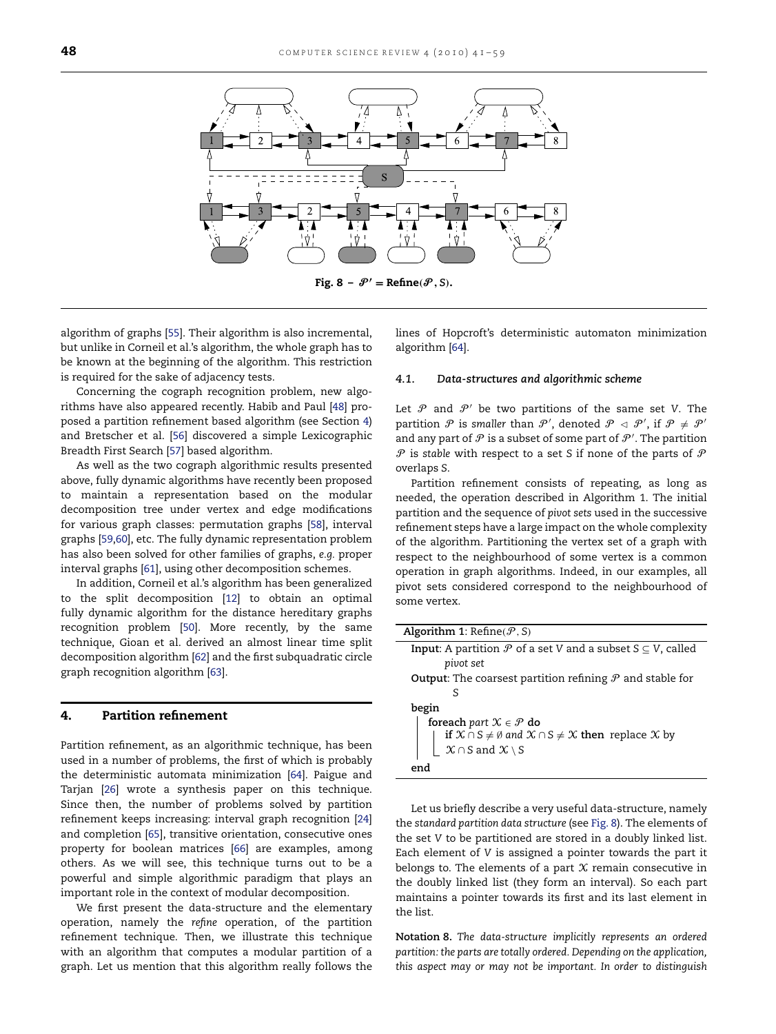<span id="page-7-1"></span>

algorithm of graphs [\[55\]](#page-17-15). Their algorithm is also incremental, but unlike in Corneil et al.'s algorithm, the whole graph has to be known at the beginning of the algorithm. This restriction is required for the sake of adjacency tests.

Concerning the cograph recognition problem, new algorithms have also appeared recently. Habib and Paul [\[48\]](#page-17-16) proposed a partition refinement based algorithm (see Section [4\)](#page-7-0) and Bretscher et al. [\[56\]](#page-17-17) discovered a simple Lexicographic Breadth First Search [\[57\]](#page-17-18) based algorithm.

As well as the two cograph algorithmic results presented above, fully dynamic algorithms have recently been proposed to maintain a representation based on the modular decomposition tree under vertex and edge modifications for various graph classes: permutation graphs [\[58\]](#page-17-19), interval graphs [\[59,](#page-17-20)[60\]](#page-17-21), etc. The fully dynamic representation problem has also been solved for other families of graphs, *e.g.* proper interval graphs [\[61\]](#page-17-22), using other decomposition schemes.

In addition, Corneil et al.'s algorithm has been generalized to the split decomposition [\[12\]](#page-16-11) to obtain an optimal fully dynamic algorithm for the distance hereditary graphs recognition problem [\[50\]](#page-17-10). More recently, by the same technique, Gioan et al. derived an almost linear time split decomposition algorithm [\[62\]](#page-17-23) and the first subquadratic circle graph recognition algorithm [\[63\]](#page-17-24).

# <span id="page-7-0"></span>4. Partition refinement

Partition refinement, as an algorithmic technique, has been used in a number of problems, the first of which is probably the deterministic automata minimization [\[64\]](#page-17-25). Paigue and Tarjan [\[26\]](#page-16-24) wrote a synthesis paper on this technique. Since then, the number of problems solved by partition refinement keeps increasing: interval graph recognition [\[24\]](#page-16-23) and completion [\[65\]](#page-17-26), transitive orientation, consecutive ones property for boolean matrices [\[66\]](#page-17-27) are examples, among others. As we will see, this technique turns out to be a powerful and simple algorithmic paradigm that plays an important role in the context of modular decomposition.

We first present the data-structure and the elementary operation, namely the *refine* operation, of the partition refinement technique. Then, we illustrate this technique with an algorithm that computes a modular partition of a graph. Let us mention that this algorithm really follows the

lines of Hopcroft's deterministic automaton minimization algorithm [\[64\]](#page-17-25).

#### *4.1. Data-structures and algorithmic scheme*

Let  $P$  and  $P'$  be two partitions of the same set *V*. The partition  $P$  is smaller than  $P'$ , denoted  $P \triangleleft P'$ , if  $P \neq P'$ and any part of  $P$  is a subset of some part of  $P^{\prime}.$  The partition P is *stable* with respect to a set *S* if none of the parts of P overlaps *S*.

Partition refinement consists of repeating, as long as needed, the operation described in Algorithm 1. The initial partition and the sequence of *pivot sets* used in the successive refinement steps have a large impact on the whole complexity of the algorithm. Partitioning the vertex set of a graph with respect to the neighbourhood of some vertex is a common operation in graph algorithms. Indeed, in our examples, all pivot sets considered correspond to the neighbourhood of some vertex.

| <b>Algorithm 1:</b> Refine( $P$ , S)                                                                  |
|-------------------------------------------------------------------------------------------------------|
| <b>Input:</b> A partition $\mathcal P$ of a set V and a subset $S \subseteq V$ , called               |
| pivot set                                                                                             |
| <b>Output:</b> The coarsest partition refining $P$ and stable for                                     |
| S                                                                                                     |
| begin                                                                                                 |
| foreach part $\mathcal{X} \in \mathcal{P}$ do                                                         |
| if $X \cap S \neq \emptyset$ and $X \cap S \neq X$ then replace $X$ by $X \cap S$ and $X \setminus S$ |
|                                                                                                       |
| end                                                                                                   |

Let us briefly describe a very useful data-structure, namely the *standard partition data structure* (see [Fig. 8\)](#page-7-1). The elements of the set *V* to be partitioned are stored in a doubly linked list. Each element of *V* is assigned a pointer towards the part it belongs to. The elements of a part  $X$  remain consecutive in the doubly linked list (they form an interval). So each part maintains a pointer towards its first and its last element in the list.

**Notation 8.** *The data-structure implicitly represents an ordered partition: the parts are totally ordered. Depending on the application, this aspect may or may not be important. In order to distinguish*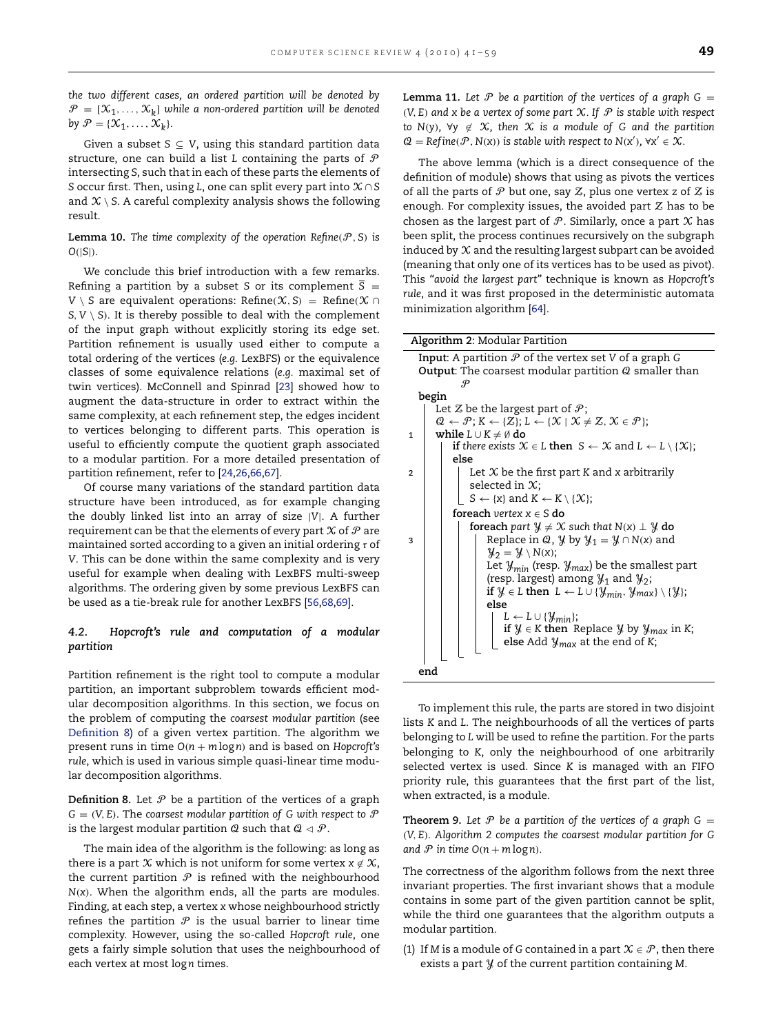*the two different cases, an ordered partition will be denoted by*  $\mathcal{P} = [\mathcal{X}_1, \dots, \mathcal{X}_k]$  while a non-ordered partition will be denoted *by*  $\mathcal{P} = \{X_1, \ldots, X_k\}.$ 

Given a subset  $S \subseteq V$ , using this standard partition data structure, one can build a list *L* containing the parts of P intersecting *S*, such that in each of these parts the elements of *S* occur first. Then, using *L*, one can split every part into X ∩ *S* and  $X \setminus S$ . A careful complexity analysis shows the following result.

**Lemma 10.** *The time complexity of the operation Refine*( $P$ , *S*) *is O*(|*S*|)*.*

We conclude this brief introduction with a few remarks. Refining a partition by a subset *S* or its complement  $\overline{S}$  = *V* \ *S* are equivalent operations: Refine( $X$ , *S*) = Refine( $X$  ∩ *S*,  $V \setminus S$ ). It is thereby possible to deal with the complement of the input graph without explicitly storing its edge set. Partition refinement is usually used either to compute a total ordering of the vertices (*e.g.* LexBFS) or the equivalence classes of some equivalence relations (*e.g.* maximal set of twin vertices). McConnell and Spinrad [\[23\]](#page-16-34) showed how to augment the data-structure in order to extract within the same complexity, at each refinement step, the edges incident to vertices belonging to different parts. This operation is useful to efficiently compute the quotient graph associated to a modular partition. For a more detailed presentation of partition refinement, refer to [\[24,](#page-16-23)[26,](#page-16-24)[66](#page-17-27)[,67\]](#page-17-28).

Of course many variations of the standard partition data structure have been introduced, as for example changing the doubly linked list into an array of size |*V*|. A further requirement can be that the elements of every part  $X$  of  $P$  are maintained sorted according to a given an initial ordering  $\tau$  of *V*. This can be done within the same complexity and is very useful for example when dealing with LexBFS multi-sweep algorithms. The ordering given by some previous LexBFS can be used as a tie-break rule for another LexBFS [\[56,](#page-17-17)[68](#page-17-29)[,69\]](#page-17-30).

# *4.2. Hopcroft's rule and computation of a modular partition*

Partition refinement is the right tool to compute a modular partition, an important subproblem towards efficient modular decomposition algorithms. In this section, we focus on the problem of computing the *coarsest modular partition* (see [Definition 8\)](#page-8-0) of a given vertex partition. The algorithm we present runs in time *O*(*n* + *m* log *n*) and is based on *Hopcroft's rule*, which is used in various simple quasi-linear time modular decomposition algorithms.

<span id="page-8-0"></span>**Definition 8.** Let  $P$  be a partition of the vertices of a graph  $G = (V, E)$ . The *coarsest modular partition of G* with respect to  $P$ is the largest modular partition  $Q$  such that  $Q \triangleleft P$ .

The main idea of the algorithm is the following: as long as there is a part  $X$  which is not uniform for some vertex  $x \notin X$ , the current partition  $\mathcal P$  is refined with the neighbourhood *N*(*x*). When the algorithm ends, all the parts are modules. Finding, at each step, a vertex *x* whose neighbourhood strictly refines the partition  $\mathcal P$  is the usual barrier to linear time complexity. However, using the so-called *Hopcroft rule*, one gets a fairly simple solution that uses the neighbourhood of each vertex at most logn times.

**Lemma 11.** Let  $P$  be a partition of the vertices of a graph  $G =$  $(V, E)$  and  $x$  be a vertex of some part  $X$ . If  $P$  is stable with respect *to*  $N(y)$ ,  $\forall y \notin \mathcal{X}$ , then  $\mathcal{X}$  *is a module of G and the partition*  $Q = \text{Refine}(\mathcal{P}, N(x))$  *is stable with respect to*  $N(x'), \forall x' \in \mathcal{X}$ *.* 

The above lemma (which is a direct consequence of the definition of module) shows that using as pivots the vertices of all the parts of  $P$  but one, say  $Z$ , plus one vertex *z* of  $Z$  is enough. For complexity issues, the avoided part  $Z$  has to be chosen as the largest part of  $P$ . Similarly, once a part  $X$  has been split, the process continues recursively on the subgraph induced by  $X$  and the resulting largest subpart can be avoided (meaning that only one of its vertices has to be used as pivot). This *"avoid the largest part"* technique is known as *Hopcroft's rule*, and it was first proposed in the deterministic automata minimization algorithm [\[64\]](#page-17-25).

| Algorithm 2: Modular Partition                                                                                                                                                                           |
|----------------------------------------------------------------------------------------------------------------------------------------------------------------------------------------------------------|
| <b>Input:</b> A partition $P$ of the vertex set V of a graph G                                                                                                                                           |
| <b>Output:</b> The coarsest modular partition Q smaller than                                                                                                                                             |
| P.                                                                                                                                                                                                       |
| begin                                                                                                                                                                                                    |
| Let Z be the largest part of $\mathcal{P}$ ;<br>$\mathcal{Q} \leftarrow \mathcal{P}; K \leftarrow \{Z\}; L \leftarrow \{ \mathcal{X} \mid \mathcal{X} \neq \mathcal{Z}, \mathcal{X} \in \mathcal{P} \};$ |
| while $L \cup K \neq \emptyset$ do<br>$\mathbf{1}$                                                                                                                                                       |
| <b>if</b> there exists $X \in L$ then $S \leftarrow X$ and $L \leftarrow L \setminus \{X\}$ ;                                                                                                            |
| else                                                                                                                                                                                                     |
| Let $X$ be the first part K and x arbitrarily<br>$\overline{2}$                                                                                                                                          |
| selected in $\mathfrak{X};$                                                                                                                                                                              |
| $S \leftarrow \{x\}$ and $K \leftarrow K \setminus \{X\};$                                                                                                                                               |
| foreach vertex $x \in S$ do                                                                                                                                                                              |
| <b>foreach</b> part $\mathcal{Y} \neq \mathcal{X}$ such that $N(x) \perp \mathcal{Y}$ do                                                                                                                 |
| Replace in $Q$ , $\mathcal{Y}$ by $\mathcal{Y}_1 = \mathcal{Y} \cap N(x)$ and<br>3                                                                                                                       |
| $\mathcal{Y}_2 = \mathcal{Y} \setminus N(x);$                                                                                                                                                            |
| Let $\mathcal{Y}_{min}$ (resp. $\mathcal{Y}_{max}$ ) be the smallest part                                                                                                                                |
| (resp. largest) among $\mathcal{Y}_1$ and $\mathcal{Y}_2$ ;                                                                                                                                              |
| if $\mathcal{Y} \in L$ then $L \leftarrow L \cup \{\mathcal{Y}_{min}, \mathcal{Y}_{max}\} \setminus \{\mathcal{Y}\};$<br>else                                                                            |
| $L \leftarrow L \cup \{\mathcal{Y}_{min}\};$                                                                                                                                                             |
| if $\mathcal{Y} \in K$ then Replace $\mathcal{Y}$ by $\mathcal{Y}_{max}$ in K;                                                                                                                           |
| else Add $\mathcal{Y}_{max}$ at the end of K;                                                                                                                                                            |
|                                                                                                                                                                                                          |
| end                                                                                                                                                                                                      |

To implement this rule, the parts are stored in two disjoint lists *K* and *L*. The neighbourhoods of all the vertices of parts belonging to *L* will be used to refine the partition. For the parts belonging to *K*, only the neighbourhood of one arbitrarily selected vertex is used. Since *K* is managed with an FIFO priority rule, this guarantees that the first part of the list, when extracted, is a module.

**Theorem 9.** Let  $P$  be a partition of the vertices of a graph  $G =$ (*V*, *E*)*. Algorithm 2 computes the coarsest modular partition for G and*  $P$  *in time*  $O(n + m \log n)$ *.* 

The correctness of the algorithm follows from the next three invariant properties. The first invariant shows that a module contains in some part of the given partition cannot be split, while the third one guarantees that the algorithm outputs a modular partition.

(1) If *M* is a module of *G* contained in a part  $X \in \mathcal{P}$ , then there exists a part Y of the current partition containing *M*.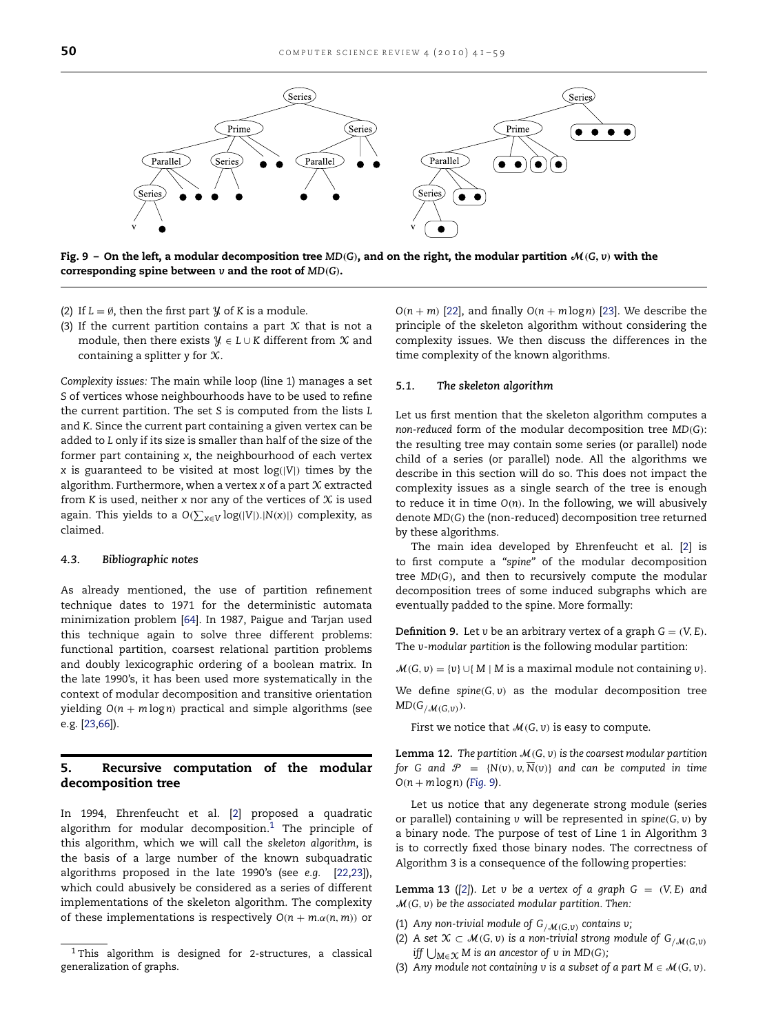<span id="page-9-2"></span>

Fig. 9 - On the left, a modular decomposition tree  $MD(G)$ , and on the right, the modular partition  $M(G, v)$  with the corresponding spine between *v* and the root of *MD*(*G*).

- (2) If  $L = \emptyset$ , then the first part  $\mathcal Y$  of *K* is a module.
- (3) If the current partition contains a part  $X$  that is not a module, then there exists  $\mathcal{Y} \in L \cup K$  different from  $\mathcal{X}$  and containing a splitter *y* for X.

*Complexity issues:* The main while loop (line 1) manages a set *S* of vertices whose neighbourhoods have to be used to refine the current partition. The set *S* is computed from the lists *L* and *K*. Since the current part containing a given vertex can be added to *L* only if its size is smaller than half of the size of the former part containing *x*, the neighbourhood of each vertex *x* is guaranteed to be visited at most log(|*V*|) times by the algorithm. Furthermore, when a vertex *x* of a part X extracted from *K* is used, neither *x* nor any of the vertices of  $X$  is used again. This yields to a  $O(\sum_{x \in V} log(|V|).|N(x)|)$  complexity, as claimed.

# *4.3. Bibliographic notes*

As already mentioned, the use of partition refinement technique dates to 1971 for the deterministic automata minimization problem [\[64\]](#page-17-25). In 1987, Paigue and Tarjan used this technique again to solve three different problems: functional partition, coarsest relational partition problems and doubly lexicographic ordering of a boolean matrix. In the late 1990's, it has been used more systematically in the context of modular decomposition and transitive orientation yielding  $O(n + m \log n)$  practical and simple algorithms (see e.g. [\[23](#page-16-34)[,66\]](#page-17-27)).

# <span id="page-9-0"></span>5. Recursive computation of the modular decomposition tree

In 1994, Ehrenfeucht et al. [\[2\]](#page-16-1) proposed a quadratic algorithm for modular decomposition. $1$  The principle of this algorithm, which we will call the *skeleton algorithm*, is the basis of a large number of the known subquadratic algorithms proposed in the late 1990's (see *e.g.* [\[22](#page-16-21)[,23\]](#page-16-34)), which could abusively be considered as a series of different implementations of the skeleton algorithm. The complexity of these implementations is respectively  $O(n + m.\alpha(n, m))$  or

 $O(n + m)$  [\[22\]](#page-16-21), and finally  $O(n + m \log n)$  [\[23\]](#page-16-34). We describe the principle of the skeleton algorithm without considering the complexity issues. We then discuss the differences in the time complexity of the known algorithms.

#### *5.1. The skeleton algorithm*

Let us first mention that the skeleton algorithm computes a *non-reduced* form of the modular decomposition tree *MD*(*G*): the resulting tree may contain some series (or parallel) node child of a series (or parallel) node. All the algorithms we describe in this section will do so. This does not impact the complexity issues as a single search of the tree is enough to reduce it in time *O*(*n*). In the following, we will abusively denote *MD*(*G*) the (non-reduced) decomposition tree returned by these algorithms.

The main idea developed by Ehrenfeucht et al. [\[2\]](#page-16-1) is to first compute a *"spine"* of the modular decomposition tree *MD*(*G*), and then to recursively compute the modular decomposition trees of some induced subgraphs which are eventually padded to the spine. More formally:

**Definition 9.** Let *v* be an arbitrary vertex of a graph  $G = (V, E)$ . The *v*-*modular partition* is the following modular partition:

 $M(G, v) = \{v\} \cup \{M \mid M \text{ is a maximal module not containing } v\}.$ 

We define *spine*(*G*, *v*) as the modular decomposition tree  $MD(G_{/M(G, v)}).$ 

<span id="page-9-4"></span>First we notice that  $M(G, v)$  is easy to compute.

**Lemma 12.** *The partition* M(*G*, *v*) *is the coarsest modular partition for G and*  $\mathcal{P} = \{N(v), v, \overline{N}(v)\}$  *and can be computed in time O*(*n* + *m* log *n*) *[\(Fig.](#page-9-2)* 9*).*

Let us notice that any degenerate strong module (series or parallel) containing *v* will be represented in *spine*(*G*, *v*) by a binary node. The purpose of test of Line 1 in Algorithm 3 is to correctly fixed those binary nodes. The correctness of Algorithm 3 is a consequence of the following properties:

<span id="page-9-3"></span>**Lemma 13** ([\[2\]](#page-16-1)). Let  $v$  be a vertex of a graph  $G = (V, E)$  and M(*G*, *v*) *be the associated modular partition. Then:*

- (1) Any non-trivial module of  $G_{/M(G,v)}$  contains *v*;
- (2) *A* set  $X$  ⊂  $M(G, v)$  is a non-trivial strong module of  $G_{/M(G, v)}$ *iff*  $\bigcup_{M \in \mathcal{X}} M$  *is an ancestor of v in MD*(*G*)*;*
- (3) Any module not containing  $v$  is a subset of a part  $M \in \mathcal{M}(G, v)$ .

<span id="page-9-1"></span><sup>1</sup> This algorithm is designed for 2-structures, a classical generalization of graphs.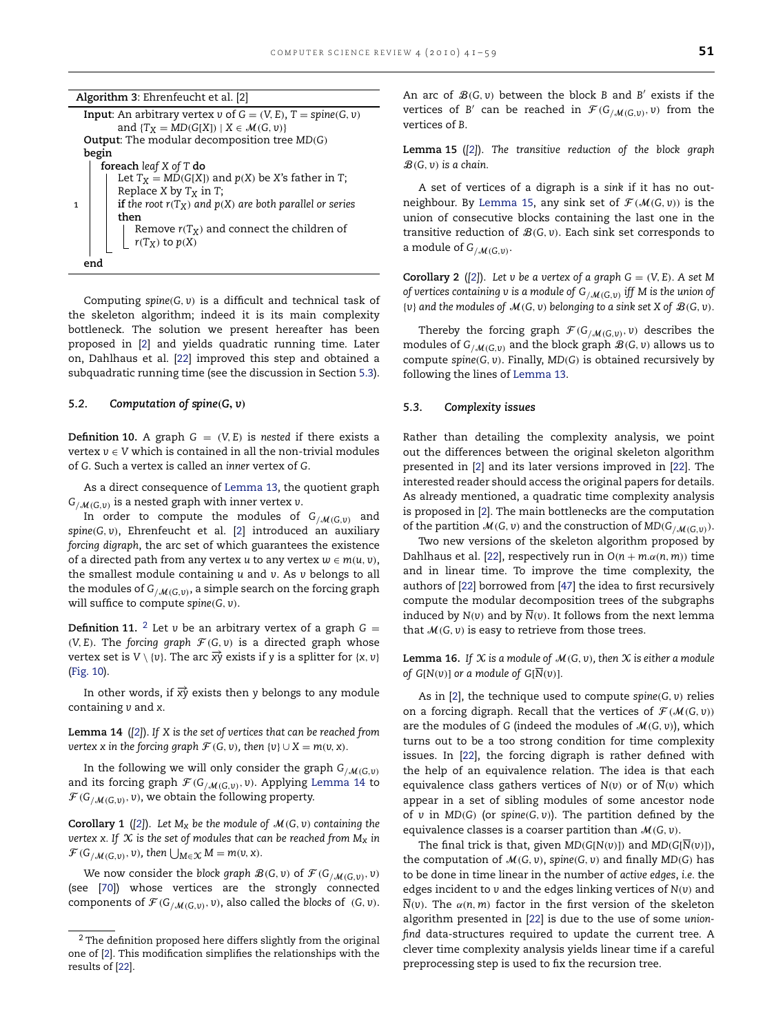| Algorithm 3: Ehrenfeucht et al. [2]                                            |  |
|--------------------------------------------------------------------------------|--|
| <b>Input:</b> An arbitrary vertex v of $G = (V, E)$ , $T = \text{spine}(G, v)$ |  |
| and $\{T_X = MD(G[X]) \mid X \in \mathcal{M}(G, v)\}\$                         |  |
| <b>Output:</b> The modular decomposition tree $MD(G)$                          |  |
| begin                                                                          |  |
| foreach leaf X of T do                                                         |  |
| Let $T_X = MD(G[X])$ and $p(X)$ be X's father in T;                            |  |
| Replace $X$ by $T_X$ in $T$ ;                                                  |  |
| if the root $r(T_X)$ and $p(X)$ are both parallel or series                    |  |
| then                                                                           |  |
| Remove $r(T_X)$ and connect the children of                                    |  |
| $r(T_X)$ to $p(X)$                                                             |  |
|                                                                                |  |
|                                                                                |  |

Computing *spine*(*G*, *v*) is a difficult and technical task of the skeleton algorithm; indeed it is its main complexity bottleneck. The solution we present hereafter has been proposed in [\[2\]](#page-16-1) and yields quadratic running time. Later on, Dahlhaus et al. [\[22\]](#page-16-21) improved this step and obtained a subquadratic running time (see the discussion in Section [5.3\)](#page-10-0).

#### *5.2. Computation of spine*(*G*, *v*)

**Definition 10.** A graph  $G = (V, E)$  is *nested* if there exists a vertex *v* ∈ *V* which is contained in all the non-trivial modules of *G*. Such a vertex is called an *inner* vertex of *G*.

As a direct consequence of [Lemma 13,](#page-9-3) the quotient graph *G*/M(*G*,*v*) is a nested graph with inner vertex *v*.

In order to compute the modules of  $G_{/M(G, v)}$  and *spine*(*G*, *v*), Ehrenfeucht et al. [\[2\]](#page-16-1) introduced an auxiliary *forcing digraph*, the arc set of which guarantees the existence of a directed path from any vertex *u* to any vertex  $w \in m(u, v)$ , the smallest module containing *u* and *v*. As *v* belongs to all the modules of  $G_{/M(G,v)}$ , a simple search on the forcing graph will suffice to compute *spine*(*G*, *v*).

**Definition 11.** <sup>[2](#page-10-1)</sup> Let *v* be an arbitrary vertex of a graph  $G =$ (*V*, *E*). The *forcing graph*  $\mathcal{F}(G, v)$  is a directed graph whose vertex set is  $V \setminus \{v\}$ . The arc  $\overrightarrow{xy}$  exists if *y* is a splitter for  $\{x, v\}$ [\(Fig. 10\)](#page-11-1).

In other words, if  $\vec{x}$ <sup>*y*</sup> exists then *y* belongs to any module containing *v* and *x*.

<span id="page-10-2"></span>**Lemma 14** (*[\[2\]](#page-16-1)*). *If X is the set of vertices that can be reached from vertex x* in the forcing graph  $\mathcal{F}(G, v)$ , then  $\{v\} \cup X = m(v, x)$ .

In the following we will only consider the graph  $G_{/M(G,v)}$ and its forcing graph  $\mathcal{F}(G_{/\mathcal{M}(G,v)}, v)$ . Applying [Lemma 14](#page-10-2) to  $\mathcal{F}(G_{/M(G,v)}, v)$ , we obtain the following property.

**Corollary 1** ([\[2\]](#page-16-1)). Let  $M_x$  be the module of  $\mathcal{M}(G, v)$  containing the *vertex x*. If  $X$  is the set of modules that can be reached from  $M_X$  in  $\mathcal{F}(\mathsf{G}_{/\mathcal{M}(\mathsf{G},v)}, v)$ , then  $\bigcup_{\mathsf{M}\in\mathcal{X}}\mathsf{M}=m(v,x)$ .

We now consider the block graph  $\mathcal{B}(G, v)$  of  $\mathcal{F}(G_{/M(G, v)}, v)$ (see [\[70\]](#page-17-31)) whose vertices are the strongly connected components of  $\mathcal{F}(G_{/M(G, v)}, v)$ , also called the *blocks* of  $(G, v)$ . An arc of  $\mathcal{B}(G, v)$  between the block *B* and *B*<sup> $\prime$ </sup> exists if the vertices of *B*<sup> $\prime$ </sup> can be reached in  $\mathcal{F}(G_{\ell,M(G,V)}, v)$  from the vertices of *B*.

<span id="page-10-3"></span>**Lemma 15** (*[\[2\]](#page-16-1)*). *The transitive reduction of the block graph* B(*G*, *v*) *is a chain.*

A set of vertices of a digraph is a *sink* if it has no out-neighbour. By [Lemma 15,](#page-10-3) any sink set of  $\mathcal{F}(\mathcal{M}(G, v))$  is the union of consecutive blocks containing the last one in the transitive reduction of  $B(G, v)$ . Each sink set corresponds to a module of  $G_{/M(G,v)}$ .

**Corollary 2** ( $[2]$ ). Let *v* be a vertex of a graph  $G = (V, E)$ . A set M *of vertices containing v is a module of G*/M(*G*,*v*) *iff M is the union of*  ${v}$  *and the modules of*  $M(G, v)$  *belonging to a sink set*  $X$  *of*  $B(G, v)$ *.* 

Thereby the forcing graph  $\mathcal{F}(G_{/\mathcal{M}(G,v)}, v)$  describes the modules of  $G_{/M(G,v)}$  and the block graph  $\mathcal{B}(G,v)$  allows us to compute *spine*(*G*, *v*). Finally, *MD*(*G*) is obtained recursively by following the lines of [Lemma 13.](#page-9-3)

# <span id="page-10-0"></span>*5.3. Complexity issues*

Rather than detailing the complexity analysis, we point out the differences between the original skeleton algorithm presented in [\[2\]](#page-16-1) and its later versions improved in [\[22\]](#page-16-21). The interested reader should access the original papers for details. As already mentioned, a quadratic time complexity analysis is proposed in [\[2\]](#page-16-1). The main bottlenecks are the computation of the partition  $M(G, v)$  and the construction of  $MD(G_{/M(G, v)})$ .

Two new versions of the skeleton algorithm proposed by Dahlhaus et al. [\[22\]](#page-16-21), respectively run in  $O(n + m \alpha(n, m))$  time and in linear time. To improve the time complexity, the authors of [\[22\]](#page-16-21) borrowed from [\[47\]](#page-17-9) the idea to first recursively compute the modular decomposition trees of the subgraphs induced by  $N(v)$  and by  $\overline{N}(v)$ . It follows from the next lemma that  $M(G, v)$  is easy to retrieve from those trees.

**Lemma 16.** If  $X$  is a module of  $M(G, v)$ , then  $X$  is either a module *of*  $G[N(v)]$  *or a module of*  $G[\overline{N}(v)]$ *.* 

As in [\[2\]](#page-16-1), the technique used to compute *spine*(*G*, *v*) relies on a forcing digraph. Recall that the vertices of  $\mathcal{F}(\mathcal{M}(G, v))$ are the modules of *G* (indeed the modules of  $\mathcal{M}(G, v)$ ), which turns out to be a too strong condition for time complexity issues. In [\[22\]](#page-16-21), the forcing digraph is rather defined with the help of an equivalence relation. The idea is that each equivalence class gathers vertices of  $N(v)$  or of  $\overline{N}(v)$  which appear in a set of sibling modules of some ancestor node of *v* in *MD*(*G*) (or *spine*(*G*, *v*)). The partition defined by the equivalence classes is a coarser partition than M(*G*, *v*).

The final trick is that, given  $MD(G[N(v)])$  and  $MD(G[\overline{N}(v)])$ , the computation of  $M(G, v)$ ,  $spine(G, v)$  and finally  $MD(G)$  has to be done in time linear in the number of *active edges*, *i.e.* the edges incident to *v* and the edges linking vertices of *N*(*v*) and  $\overline{N}(v)$ . The  $\alpha(n, m)$  factor in the first version of the skeleton algorithm presented in [\[22\]](#page-16-21) is due to the use of some *unionfind* data-structures required to update the current tree. A clever time complexity analysis yields linear time if a careful preprocessing step is used to fix the recursion tree.

<span id="page-10-1"></span> $2$  The definition proposed here differs slightly from the original one of [\[2\]](#page-16-1). This modification simplifies the relationships with the results of [\[22\]](#page-16-21).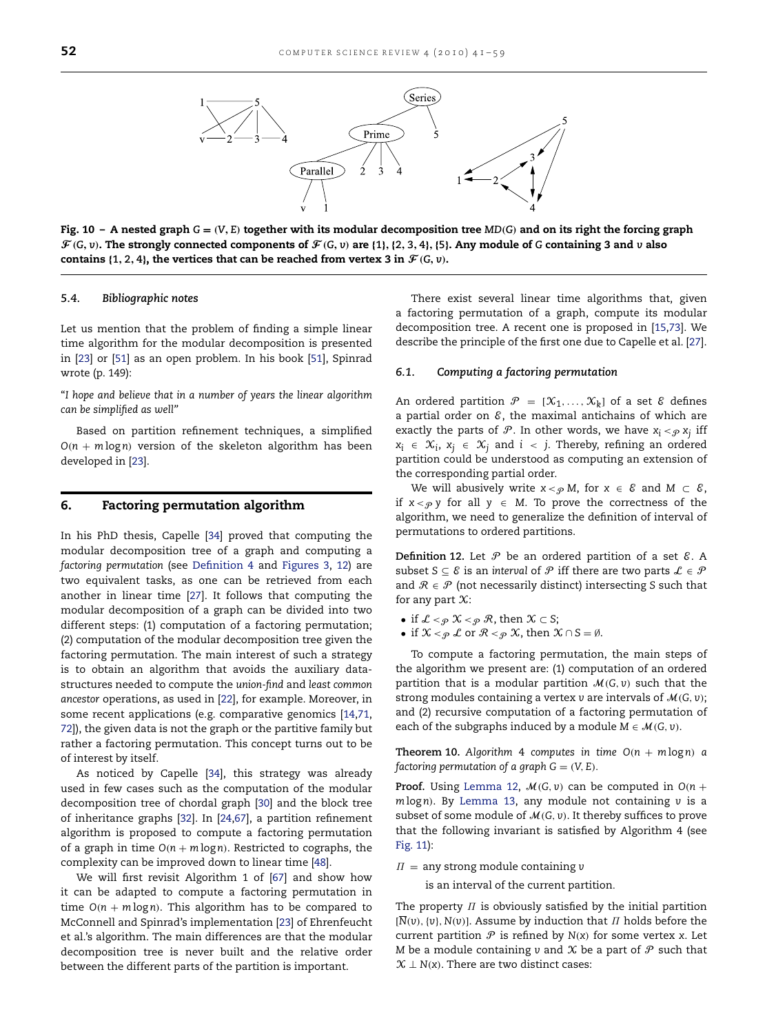<span id="page-11-1"></span>

Fig. 10 – A nested graph  $G = (V, E)$  together with its modular decomposition tree  $MD(G)$  and on its right the forcing graph  $\mathcal{F}(G, v)$ . The strongly connected components of  $\mathcal{F}(G, v)$  are {1}, {2, 3, 4}, {5}. Any module of *G* containing 3 and *v* also contains {1, 2, 4}, the vertices that can be reached from vertex 3 in  $\mathcal{F}(G, v)$ .

# <span id="page-11-2"></span>*5.4. Bibliographic notes*

Let us mention that the problem of finding a simple linear time algorithm for the modular decomposition is presented in [\[23\]](#page-16-34) or [\[51\]](#page-17-11) as an open problem. In his book [\[51\]](#page-17-11), Spinrad wrote (p. 149):

"*I hope and believe that in a number of years the linear algorithm can be simplified as well"*

Based on partition refinement techniques, a simplified  $O(n + m \log n)$  version of the skeleton algorithm has been developed in [\[23\]](#page-16-34).

# <span id="page-11-0"></span>6. Factoring permutation algorithm

In his PhD thesis, Capelle [\[34\]](#page-16-30) proved that computing the modular decomposition tree of a graph and computing a *factoring permutation* (see [Definition 4](#page-2-4) and [Figures 3,](#page-4-0) [12\)](#page-13-0) are two equivalent tasks, as one can be retrieved from each another in linear time [\[27\]](#page-16-25). It follows that computing the modular decomposition of a graph can be divided into two different steps: (1) computation of a factoring permutation; (2) computation of the modular decomposition tree given the factoring permutation. The main interest of such a strategy is to obtain an algorithm that avoids the auxiliary datastructures needed to compute the *union-find* and *least common ancestor* operations, as used in [\[22\]](#page-16-21), for example. Moreover, in some recent applications (e.g. comparative genomics [\[14,](#page-16-13)[71,](#page-17-32) [72\]](#page-17-33)), the given data is not the graph or the partitive family but rather a factoring permutation. This concept turns out to be of interest by itself.

As noticed by Capelle [\[34\]](#page-16-30), this strategy was already used in few cases such as the computation of the modular decomposition tree of chordal graph [\[30\]](#page-16-28) and the block tree of inheritance graphs [\[32\]](#page-16-35). In [\[24](#page-16-23)[,67\]](#page-17-28), a partition refinement algorithm is proposed to compute a factoring permutation of a graph in time  $O(n + m \log n)$ . Restricted to cographs, the complexity can be improved down to linear time [\[48\]](#page-17-16).

We will first revisit Algorithm 1 of [\[67\]](#page-17-28) and show how it can be adapted to compute a factoring permutation in time  $O(n + m \log n)$ . This algorithm has to be compared to McConnell and Spinrad's implementation [\[23\]](#page-16-34) of Ehrenfeucht et al.'s algorithm. The main differences are that the modular decomposition tree is never built and the relative order between the different parts of the partition is important.

There exist several linear time algorithms that, given a factoring permutation of a graph, compute its modular decomposition tree. A recent one is proposed in [\[15](#page-16-14)[,73\]](#page-17-34). We describe the principle of the first one due to Capelle et al. [\[27\]](#page-16-25).

# *6.1. Computing a factoring permutation*

An ordered partition  $\mathcal{P} = [\mathcal{X}_1, \dots, \mathcal{X}_k]$  of a set  $\mathcal{E}$  defines a partial order on  $\varepsilon$ , the maximal antichains of which are exactly the parts of  $\mathcal P$ . In other words, we have  $x_i <_{\mathcal P} x_i$  iff *x<sub>i</sub>* ∈  $X_i$ , *x<sub>i</sub>* ∈  $X_i$  and *i* < *j*. Thereby, refining an ordered partition could be understood as computing an extension of the corresponding partial order.

We will abusively write  $x < p M$ , for  $x \in \mathcal{E}$  and  $M \subset \mathcal{E}$ , if  $x <_{\mathcal{P}} y$  for all  $y \in M$ . To prove the correctness of the algorithm, we need to generalize the definition of interval of permutations to ordered partitions.

**Definition 12.** Let  $P$  be an ordered partition of a set  $E$ . A subset *S*  $\subseteq$  *E* is an *interval* of *P* iff there are two parts  $\mathcal{L} \in \mathcal{P}$ and  $\mathcal{R} \in \mathcal{P}$  (not necessarily distinct) intersecting *S* such that for any part  $X$ :

- if  $\mathcal{L} <_{\mathcal{P}} \mathcal{X} <_{\mathcal{P}} \mathcal{R}$ , then  $\mathcal{X} \subset S$ ;
- if  $X \leq_{\mathcal{P}} \mathcal{L}$  or  $\mathcal{R} \leq_{\mathcal{P}} \mathcal{X}$ , then  $X \cap S = \emptyset$ .

To compute a factoring permutation, the main steps of the algorithm we present are: (1) computation of an ordered partition that is a modular partition M(*G*, *v*) such that the strong modules containing a vertex *v* are intervals of M(*G*, *v*); and (2) recursive computation of a factoring permutation of each of the subgraphs induced by a module  $M \in \mathcal{M}(G, v)$ .

**Theorem 10.** Algorithm 4 computes in time  $O(n + m \log n)$  *a factoring permutation of a graph*  $G = (V, E)$ *.* 

**Proof.** Using [Lemma 12,](#page-9-4)  $M(G, v)$  can be computed in  $O(n + 1)$ *m* log *n*). By [Lemma 13,](#page-9-3) any module not containing *v* is a subset of some module of  $M(G, v)$ . It thereby suffices to prove that the following invariant is satisfied by Algorithm 4 (see [Fig. 11\)](#page-12-1):

 $\Pi$  = any strong module containing  $\nu$ 

is an interval of the current partition.

The property  $\Pi$  is obviously satisfied by the initial partition  $[\overline{N}(v), \{v\}, N(v)]$ . Assume by induction that  $\Pi$  holds before the current partition  $P$  is refined by  $N(x)$  for some vertex  $x$ . Let *M* be a module containing *v* and  $X$  be a part of  $P$  such that  $X \perp N(x)$ . There are two distinct cases: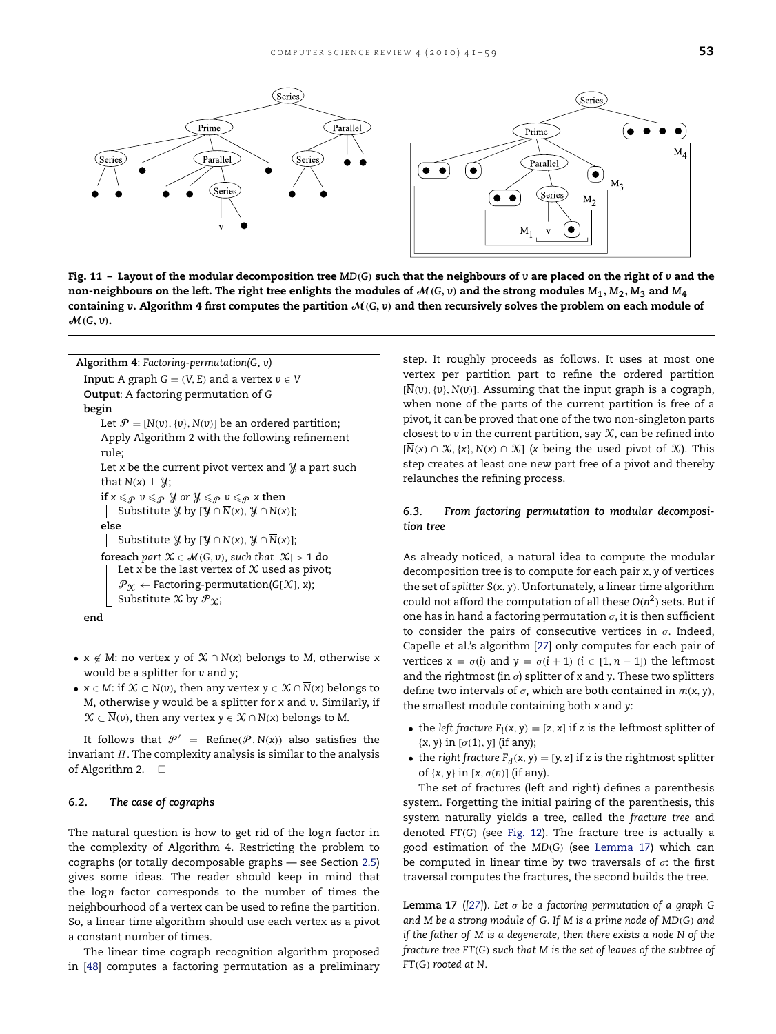<span id="page-12-1"></span>

Fig. 11 – Layout of the modular decomposition tree *MD*(*G*) such that the neighbours of *v* are placed on the right of *v* and the non-neighbours on the left. The right tree enlights the modules of  $M(G, v)$  and the strong modules  $M_1, M_2, M_3$  and  $M_4$ containing *v*. Algorithm 4 first computes the partition  $M(G, v)$  and then recursively solves the problem on each module of  $M(G, v)$ .

| Algorithm 4: Factoring-permutation(G, v)                                                                                                       |
|------------------------------------------------------------------------------------------------------------------------------------------------|
| <b>Input:</b> A graph $G = (V, E)$ and a vertex $v \in V$                                                                                      |
| <b>Output:</b> A factoring permutation of G                                                                                                    |
| begin                                                                                                                                          |
| Let $\mathcal{P} = [N(v), \{v\}, N(v)]$ be an ordered partition;                                                                               |
| Apply Algorithm 2 with the following refinement                                                                                                |
| rule;                                                                                                                                          |
| Let x be the current pivot vertex and $\mathcal{Y}$ a part such                                                                                |
| that $N(x) \perp \mathcal{Y}$ ;                                                                                                                |
| if $x \leqslant_{\mathcal{P}} v \leqslant_{\mathcal{P}} \mathcal{Y}$ or $\mathcal{Y} \leqslant_{\mathcal{P}} v \leqslant_{\mathcal{P}} x$ then |
| Substitute <i>y</i> by $\lceil y \rceil \overline{N}(x), y \cap N(x) \rceil$ ;                                                                 |
| else                                                                                                                                           |
| Substitute <i>Y</i> by $[\mathcal{Y} \cap N(x), \mathcal{Y} \cap \overline{N}(x)]$ ;                                                           |
| <b>foreach</b> part $X \in \mathcal{M}(G, v)$ , such that $ X  > 1$ do<br>Let x be the last vertex of $X$ used as pivot;                       |
| $\mathcal{P}_X \leftarrow$ Factoring-permutation(G[X], x);                                                                                     |
| Substitute X by $\mathcal{P}_X$ ;                                                                                                              |
| end                                                                                                                                            |

- $x \notin M$ : no vertex *y* of  $X \cap N(x)$  belongs to *M*, otherwise *x* would be a splitter for *v* and *y*;
- $x \in M$ : if  $X \subset N(v)$ , then any vertex  $y \in X \cap \overline{N}(x)$  belongs to *M*, otherwise *y* would be a splitter for *x* and *v*. Similarly, if  $\mathcal{X} \subset \overline{N}(v)$ , then any vertex  $y \in \mathcal{X} \cap N(x)$  belongs to *M*.

It follows that  $\mathcal{P}' = \text{Refine}(\mathcal{P}, N(x))$  also satisfies the invariant  $\Pi$ . The complexity analysis is similar to the analysis of Algorithm 2.  $\Box$ 

#### *6.2. The case of cographs*

The natural question is how to get rid of the logn factor in the complexity of Algorithm 4. Restricting the problem to cographs (or totally decomposable graphs — see Section [2.5\)](#page-4-4) gives some ideas. The reader should keep in mind that the logn factor corresponds to the number of times the neighbourhood of a vertex can be used to refine the partition. So, a linear time algorithm should use each vertex as a pivot a constant number of times.

The linear time cograph recognition algorithm proposed in [\[48\]](#page-17-16) computes a factoring permutation as a preliminary step. It roughly proceeds as follows. It uses at most one vertex per partition part to refine the ordered partition  $[\overline{N}(v), \{v\}, N(v)]$ . Assuming that the input graph is a cograph, when none of the parts of the current partition is free of a pivot, it can be proved that one of the two non-singleton parts closest to *v* in the current partition, say X, can be refined into  $[\overline{N}(x) \cap \mathcal{X}, \{x\}, N(x) \cap \mathcal{X}]$  (*x* being the used pivot of  $\mathcal{X}$ ). This step creates at least one new part free of a pivot and thereby relaunches the refining process.

# <span id="page-12-0"></span>*6.3. From factoring permutation to modular decomposition tree*

As already noticed, a natural idea to compute the modular decomposition tree is to compute for each pair *x*, *y* of vertices the set of *splitter S*(*x*, *y*). Unfortunately, a linear time algorithm could not afford the computation of all these  $O(n^2)$  sets. But if one has in hand a factoring permutation  $\sigma$ , it is then sufficient to consider the pairs of consecutive vertices in  $\sigma$ . Indeed, Capelle et al.'s algorithm [\[27\]](#page-16-25) only computes for each pair of vertices  $x = \sigma(i)$  and  $y = \sigma(i + 1)$  ( $i \in [1, n - 1]$ ) the leftmost and the rightmost (in σ) splitter of *x* and *y*. These two splitters define two intervals of  $\sigma$ , which are both contained in  $m(x, y)$ , the smallest module containing both *x* and *y*:

- the *left fracture*  $F_1(x, y) = [z, x]$  if *z* is the *leftmost splitter* of  $\{x, y\}$  in  $[\sigma(1), y]$  (if any);
- the *right fracture*  $F_d(x, y) = [y, z]$  if *z* is the rightmost splitter of  $\{x, y\}$  in  $[x, \sigma(n)]$  (if any).

The set of fractures (left and right) defines a parenthesis system. Forgetting the initial pairing of the parenthesis, this system naturally yields a tree, called the *fracture tree* and denoted *FT*(*G*) (see [Fig. 12\)](#page-13-0). The fracture tree is actually a good estimation of the *MD*(*G*) (see [Lemma 17\)](#page-12-2) which can be computed in linear time by two traversals of  $\sigma$ : the first traversal computes the fractures, the second builds the tree.

<span id="page-12-2"></span>**Lemma 17** ( $[27]$ ). Let  $\sigma$  be a factoring permutation of a graph G *and M be a strong module of G. If M is a prime node of MD*(*G*) *and if the father of M is a degenerate, then there exists a node N of the fracture tree FT*(*G*) *such that M is the set of leaves of the subtree of FT*(*G*) *rooted at N.*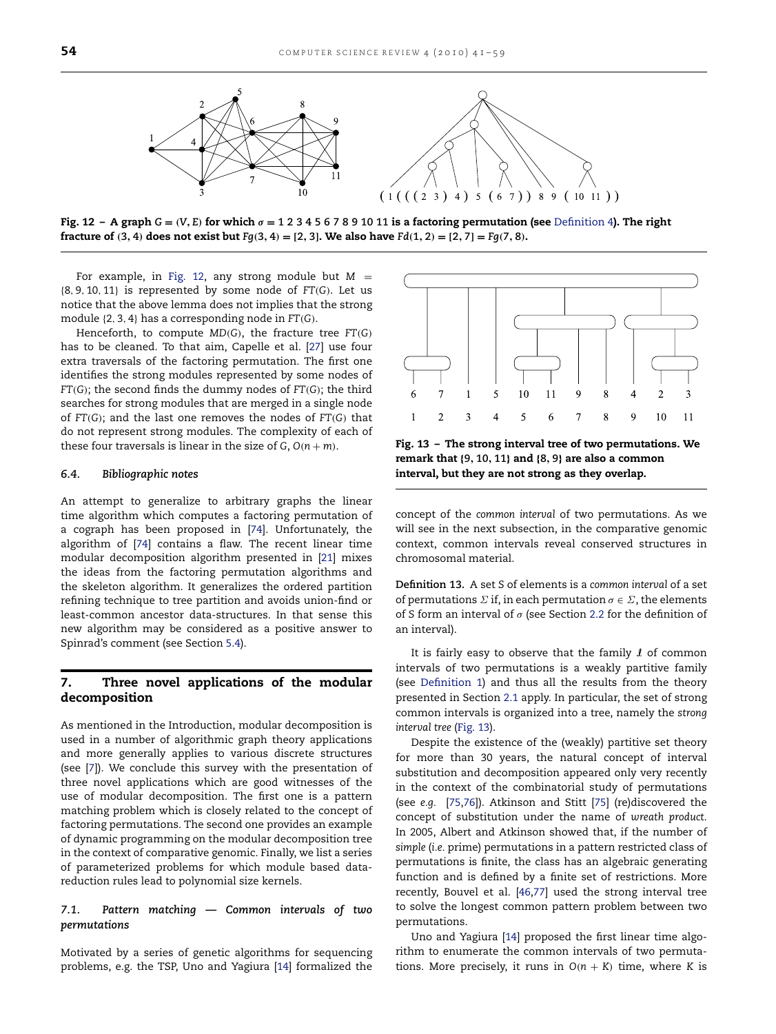<span id="page-13-0"></span>

Fig. 12 – A graph  $G = (V, E)$  for which  $\sigma = 1234567891011$  is a factoring permutation (see [Definition 4](#page-2-4)). The right fracture of (**3**, **4**) does not exist but *Fg*(**3**, **4**) = [**2**, **3**]. We also have *Fd*(**1**, **2**) = [**2**, **7**] = *Fg*(**7**, **8**).

For example, in [Fig. 12,](#page-13-0) any strong module but  $M =$ {8, 9, 10, 11} is represented by some node of *FT*(*G*). Let us notice that the above lemma does not implies that the strong module {2, 3, 4} has a corresponding node in *FT*(*G*).

Henceforth, to compute *MD*(*G*), the fracture tree *FT*(*G*) has to be cleaned. To that aim, Capelle et al. [\[27\]](#page-16-25) use four extra traversals of the factoring permutation. The first one identifies the strong modules represented by some nodes of *FT*(*G*); the second finds the dummy nodes of *FT*(*G*); the third searches for strong modules that are merged in a single node of *FT*(*G*); and the last one removes the nodes of *FT*(*G*) that do not represent strong modules. The complexity of each of these four traversals is linear in the size of  $G$ ,  $O(n + m)$ .

#### *6.4. Bibliographic notes*

An attempt to generalize to arbitrary graphs the linear time algorithm which computes a factoring permutation of a cograph has been proposed in [\[74\]](#page-17-35). Unfortunately, the algorithm of [\[74\]](#page-17-35) contains a flaw. The recent linear time modular decomposition algorithm presented in [\[21\]](#page-16-20) mixes the ideas from the factoring permutation algorithms and the skeleton algorithm. It generalizes the ordered partition refining technique to tree partition and avoids union-find or least-common ancestor data-structures. In that sense this new algorithm may be considered as a positive answer to Spinrad's comment (see Section [5.4\)](#page-11-2).

# 7. Three novel applications of the modular decomposition

As mentioned in the Introduction, modular decomposition is used in a number of algorithmic graph theory applications and more generally applies to various discrete structures (see [\[7\]](#page-16-6)). We conclude this survey with the presentation of three novel applications which are good witnesses of the use of modular decomposition. The first one is a pattern matching problem which is closely related to the concept of factoring permutations. The second one provides an example of dynamic programming on the modular decomposition tree in the context of comparative genomic. Finally, we list a series of parameterized problems for which module based datareduction rules lead to polynomial size kernels.

# *7.1. Pattern matching — Common intervals of two permutations*

Motivated by a series of genetic algorithms for sequencing problems, e.g. the TSP, Uno and Yagiura [\[14\]](#page-16-13) formalized the

<span id="page-13-1"></span>

Fig. 13 – The strong interval tree of two permutations. We remark that {**9**, **10**, **11**} and {**8**, **9**} are also a common interval, but they are not strong as they overlap.

concept of the *common interval* of two permutations. As we will see in the next subsection, in the comparative genomic context, common intervals reveal conserved structures in chromosomal material.

**Definition 13.** A set *S* of elements is a *common interval* of a set of permutations  $\Sigma$  if, in each permutation  $\sigma \in \Sigma$ , the elements of *S* form an interval of σ (see Section [2.2](#page-2-5) for the definition of an interval).

It is fairly easy to observe that the family  $\ell$  of common intervals of two permutations is a weakly partitive family (see [Definition 1\)](#page-1-3) and thus all the results from the theory presented in Section [2.1](#page-1-2) apply. In particular, the set of strong common intervals is organized into a tree, namely the *strong interval tree* [\(Fig. 13\)](#page-13-1).

Despite the existence of the (weakly) partitive set theory for more than 30 years, the natural concept of interval substitution and decomposition appeared only very recently in the context of the combinatorial study of permutations (see *e.g.* [\[75,](#page-17-36)[76\]](#page-17-37)). Atkinson and Stitt [\[75\]](#page-17-36) (re)discovered the concept of substitution under the name of *wreath product*. In 2005, Albert and Atkinson showed that, if the number of *simple* (*i.e.* prime) permutations in a pattern restricted class of permutations is finite, the class has an algebraic generating function and is defined by a finite set of restrictions. More recently, Bouvel et al. [\[46](#page-17-8)[,77\]](#page-17-38) used the strong interval tree to solve the longest common pattern problem between two permutations.

Uno and Yagiura [\[14\]](#page-16-13) proposed the first linear time algorithm to enumerate the common intervals of two permutations. More precisely, it runs in  $O(n + K)$  time, where *K* is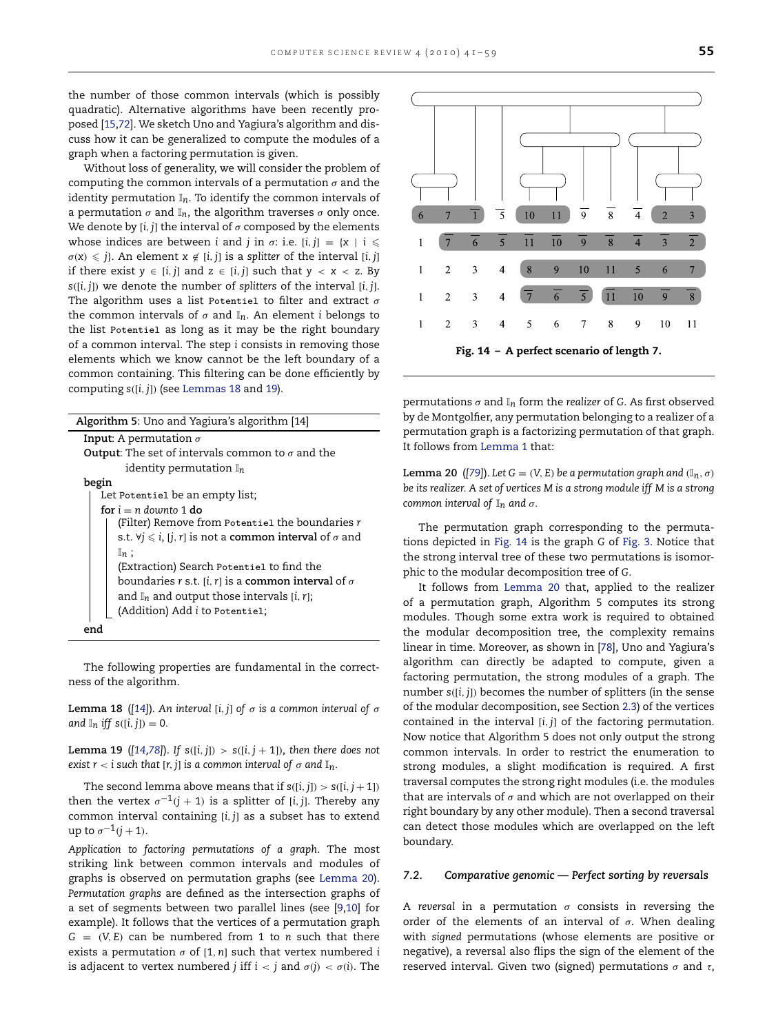the number of those common intervals (which is possibly quadratic). Alternative algorithms have been recently proposed [\[15,](#page-16-14)[72\]](#page-17-33). We sketch Uno and Yagiura's algorithm and discuss how it can be generalized to compute the modules of a graph when a factoring permutation is given.

Without loss of generality, we will consider the problem of computing the common intervals of a permutation  $\sigma$  and the identity permutation  $\mathbb{I}_n$ . To identify the common intervals of a permutation  $\sigma$  and  $\mathbb{I}_n$ , the algorithm traverses  $\sigma$  only once. We denote by [*i*, *j*] the interval of  $\sigma$  composed by the elements whose indices are between *i* and *j* in  $\sigma$ : i.e.  $[i, j] = \{x \mid i \leq j\}$  $\sigma(x) \leq \hat{j}$ . An element  $x \notin [i, j]$  is a *splitter* of the interval  $[i, j]$ if there exist *y* ∈ [*i*, *j*] and *z* ∈ [*i*, *j*] such that *y* < *x* < *z*. By *s*([*i*, *j*]) we denote the number of *splitters* of the interval [*i*, *j*]. The algorithm uses a list Potentiel to filter and extract  $\sigma$ the common intervals of  $\sigma$  and  $\mathbb{I}_n$ . An element *i* belongs to the list Potentiel as long as it may be the right boundary of a common interval. The step *i* consists in removing those elements which we know cannot be the left boundary of a common containing. This filtering can be done efficiently by computing *s*([*i*, *j*]) (see [Lemmas 18](#page-14-0) and [19\)](#page-14-1).

| Algorithm 5: Uno and Yagiura's algorithm [14]                                    |
|----------------------------------------------------------------------------------|
| <b>Input:</b> A permutation $\sigma$                                             |
| <b>Output:</b> The set of intervals common to $\sigma$ and the                   |
| identity permutation $\mathbb{I}_n$                                              |
| begin                                                                            |
| Let Potentiel be an empty list;                                                  |
| for $i = n$ downto 1 do                                                          |
| (Filter) Remove from Potentiel the boundaries r                                  |
| s.t. $\forall j \leq i$ , [j, r] is not a <b>common interval</b> of $\sigma$ and |
| $\mathbb{I}_n$ :                                                                 |
| (Extraction) Search Potentiel to find the                                        |
| boundaries r s.t. [i, r] is a common interval of $\sigma$                        |
| and $\mathbb{I}_n$ and output those intervals [i, r];                            |
| (Addition) Add i to Potentiel;                                                   |
| enc                                                                              |

The following properties are fundamental in the correctness of the algorithm.

<span id="page-14-0"></span>**Lemma 18** ( $[14]$ ). An interval  $[i, j]$  of  $\sigma$  is a common interval of  $\sigma$ *and*  $\mathbb{I}_n$  *iff*  $s([i, j]) = 0$ *.* 

<span id="page-14-1"></span>**Lemma 19** ( $[14,78]$  $[14,78]$ ). If  $s([i, j]) > s([i, j + 1])$ , then there does not *exist*  $r < i$  *such that*  $[r, j]$  *is a common interval of*  $\sigma$  *and*  $\mathbb{I}_n$ *.* 

The second lemma above means that if  $s([i, j]) > s([i, j + 1])$ then the vertex  $\sigma^{-1}(j + 1)$  is a splitter of [*i*, *j*]. Thereby any common interval containing [*i*, *j*] as a subset has to extend up to  $\sigma^{-1}(j+1)$ .

*Application to factoring permutations of a graph*. The most striking link between common intervals and modules of graphs is observed on permutation graphs (see [Lemma 20\)](#page-14-2). *Permutation graphs* are defined as the intersection graphs of a set of segments between two parallel lines (see [\[9,](#page-16-8)[10\]](#page-16-9) for example). It follows that the vertices of a permutation graph  $G = (V, E)$  can be numbered from 1 to *n* such that there exists a permutation σ of [1, *n*] such that vertex numbered *i* is adjacent to vertex numbered *j* iff  $i < j$  and  $\sigma(j) < \sigma(i)$ . The

<span id="page-14-3"></span>

permutations σ and I*n* form the *realizer* of *G*. As first observed by de Montgolfier, any permutation belonging to a realizer of a permutation graph is a factorizing permutation of that graph. It follows from [Lemma 1](#page-2-7) that:

<span id="page-14-2"></span>**Lemma 20** ([\[79\]](#page-17-40)). Let  $G = (V, E)$  be a permutation graph and  $(\mathbb{I}_n, \sigma)$ *be its realizer. A set of vertices M is a strong module iff M is a strong common interval of* I*n and* σ*.*

The permutation graph corresponding to the permutations depicted in [Fig. 14](#page-14-3) is the graph *G* of [Fig. 3.](#page-4-0) Notice that the strong interval tree of these two permutations is isomorphic to the modular decomposition tree of *G*.

It follows from [Lemma 20](#page-14-2) that, applied to the realizer of a permutation graph, Algorithm 5 computes its strong modules. Though some extra work is required to obtained the modular decomposition tree, the complexity remains linear in time. Moreover, as shown in [\[78\]](#page-17-39), Uno and Yagiura's algorithm can directly be adapted to compute, given a factoring permutation, the strong modules of a graph. The number *s*([*i*, *j*]) becomes the number of splitters (in the sense of the modular decomposition, see Section [2.3\)](#page-2-6) of the vertices contained in the interval [*i*, *j*] of the factoring permutation. Now notice that Algorithm 5 does not only output the strong common intervals. In order to restrict the enumeration to strong modules, a slight modification is required. A first traversal computes the strong right modules (i.e. the modules that are intervals of  $\sigma$  and which are not overlapped on their right boundary by any other module). Then a second traversal can detect those modules which are overlapped on the left boundary.

#### *7.2. Comparative genomic — Perfect sorting by reversals*

A *reversal* in a permutation σ consists in reversing the order of the elements of an interval of  $\sigma$ . When dealing with *signed* permutations (whose elements are positive or negative), a reversal also flips the sign of the element of the reserved interval. Given two (signed) permutations  $\sigma$  and  $\tau$ ,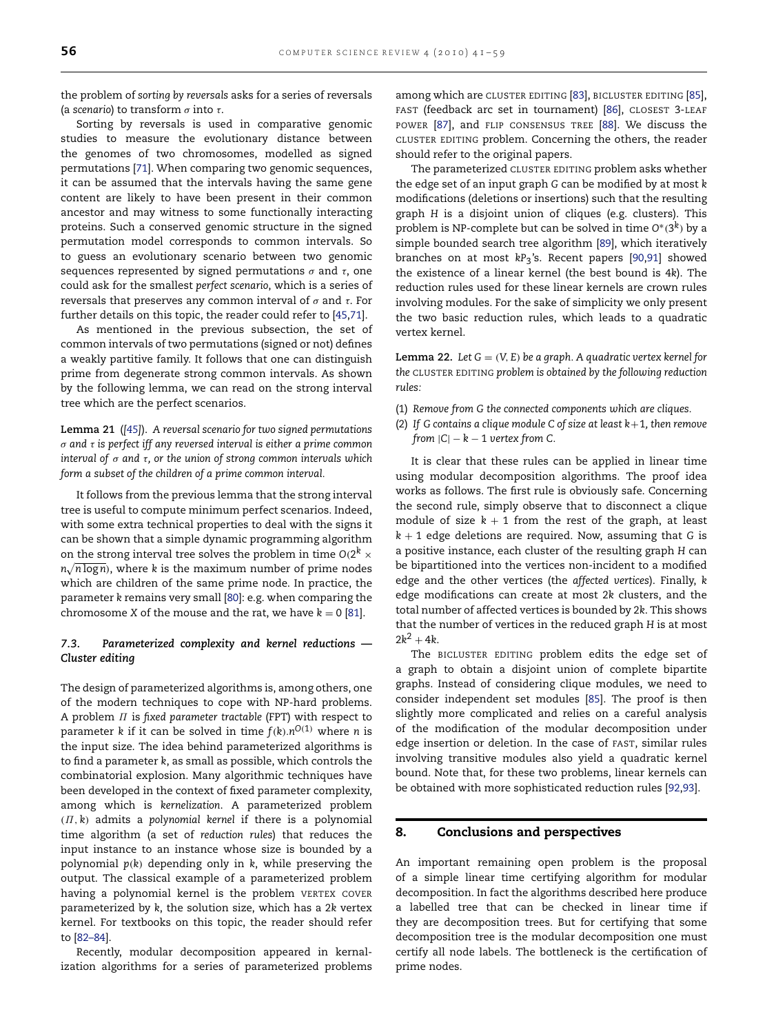the problem of *sorting by reversals* asks for a series of reversals (a *scenario*) to transform σ into τ.

Sorting by reversals is used in comparative genomic studies to measure the evolutionary distance between the genomes of two chromosomes, modelled as signed permutations [\[71\]](#page-17-32). When comparing two genomic sequences, it can be assumed that the intervals having the same gene content are likely to have been present in their common ancestor and may witness to some functionally interacting proteins. Such a conserved genomic structure in the signed permutation model corresponds to common intervals. So to guess an evolutionary scenario between two genomic sequences represented by signed permutations  $\sigma$  and  $\tau$ , one could ask for the smallest *perfect scenario*, which is a series of reversals that preserves any common interval of  $\sigma$  and  $\tau$ . For further details on this topic, the reader could refer to [\[45,](#page-17-7)[71\]](#page-17-32).

As mentioned in the previous subsection, the set of common intervals of two permutations (signed or not) defines a weakly partitive family. It follows that one can distinguish prime from degenerate strong common intervals. As shown by the following lemma, we can read on the strong interval tree which are the perfect scenarios.

**Lemma 21** (*[\[45\]](#page-17-7)*). *A reversal scenario for two signed permutations* σ *and* τ *is perfect iff any reversed interval is either a prime common interval of* σ *and* τ*, or the union of strong common intervals which form a subset of the children of a prime common interval.*

It follows from the previous lemma that the strong interval tree is useful to compute minimum perfect scenarios. Indeed, with some extra technical properties to deal with the signs it can be shown that a simple dynamic programming algorithm on the strong interval tree solves the problem in time  $O(2^k \times$  $n\sqrt{n\log n}$ ), where *k* is the maximum number of prime nodes which are children of the same prime node. In practice, the parameter *k* remains very small [\[80\]](#page-17-41): e.g. when comparing the chromosome *X* of the mouse and the rat, we have  $k = 0$  [\[81\]](#page-18-1).

# *7.3. Parameterized complexity and kernel reductions — Cluster editing*

The design of parameterized algorithms is, among others, one of the modern techniques to cope with NP-hard problems. A problem Π is *fixed parameter tractable* (FPT) with respect to parameter *k* if it can be solved in time  $f(k) \cdot n^{O(1)}$  where *n* is the input size. The idea behind parameterized algorithms is to find a parameter *k*, as small as possible, which controls the combinatorial explosion. Many algorithmic techniques have been developed in the context of fixed parameter complexity, among which is *kernelization*. A parameterized problem (Π, *k*) admits a *polynomial kernel* if there is a polynomial time algorithm (a set of *reduction rules*) that reduces the input instance to an instance whose size is bounded by a polynomial *p*(*k*) depending only in *k*, while preserving the output. The classical example of a parameterized problem having a polynomial kernel is the problem VERTEX COVER parameterized by *k*, the solution size, which has a 2*k* vertex kernel. For textbooks on this topic, the reader should refer to [\[82–84\]](#page-18-2).

Recently, modular decomposition appeared in kernalization algorithms for a series of parameterized problems among which are CLUSTER EDITING [\[83\]](#page-18-3), BICLUSTER EDITING [\[85\]](#page-18-4), FAST (feedback arc set in tournament) [\[86\]](#page-18-5), CLOSEST 3-LEAF POWER [\[87\]](#page-18-6), and FLIP CONSENSUS TREE [\[88\]](#page-18-7). We discuss the CLUSTER EDITING problem. Concerning the others, the reader should refer to the original papers.

The parameterized CLUSTER EDITING problem asks whether the edge set of an input graph *G* can be modified by at most *k* modifications (deletions or insertions) such that the resulting graph *H* is a disjoint union of cliques (e.g. clusters). This problem is NP-complete but can be solved in time *O*∗(3*k*) by a simple bounded search tree algorithm [\[89\]](#page-18-8), which iteratively branches on at most kP<sub>3</sub>'s. Recent papers [\[90,](#page-18-9)[91\]](#page-18-10) showed the existence of a linear kernel (the best bound is 4*k*). The reduction rules used for these linear kernels are crown rules involving modules. For the sake of simplicity we only present the two basic reduction rules, which leads to a quadratic vertex kernel.

**Lemma 22.** Let  $G = (V, E)$  be a graph. A quadratic vertex kernel for *the* CLUSTER EDITING *problem is obtained by the following reduction rules:*

- (1) *Remove from G the connected components which are cliques.*
- (2) *If G contains a clique module C of size at least k*+1*, then remove from*  $|C| - k - 1$  *vertex from C.*

It is clear that these rules can be applied in linear time using modular decomposition algorithms. The proof idea works as follows. The first rule is obviously safe. Concerning the second rule, simply observe that to disconnect a clique module of size  $k + 1$  from the rest of the graph, at least *k* + 1 edge deletions are required. Now, assuming that *G* is a positive instance, each cluster of the resulting graph *H* can be bipartitioned into the vertices non-incident to a modified edge and the other vertices (the *affected vertices*). Finally, *k* edge modifications can create at most 2*k* clusters, and the total number of affected vertices is bounded by 2*k*. This shows that the number of vertices in the reduced graph *H* is at most  $2k^2 + 4k$ .

The BICLUSTER EDITING problem edits the edge set of a graph to obtain a disjoint union of complete bipartite graphs. Instead of considering clique modules, we need to consider independent set modules [\[85\]](#page-18-4). The proof is then slightly more complicated and relies on a careful analysis of the modification of the modular decomposition under edge insertion or deletion. In the case of FAST, similar rules involving transitive modules also yield a quadratic kernel bound. Note that, for these two problems, linear kernels can be obtained with more sophisticated reduction rules [\[92](#page-18-11)[,93\]](#page-18-0).

# 8. Conclusions and perspectives

An important remaining open problem is the proposal of a simple linear time certifying algorithm for modular decomposition. In fact the algorithms described here produce a labelled tree that can be checked in linear time if they are decomposition trees. But for certifying that some decomposition tree is the modular decomposition one must certify all node labels. The bottleneck is the certification of prime nodes.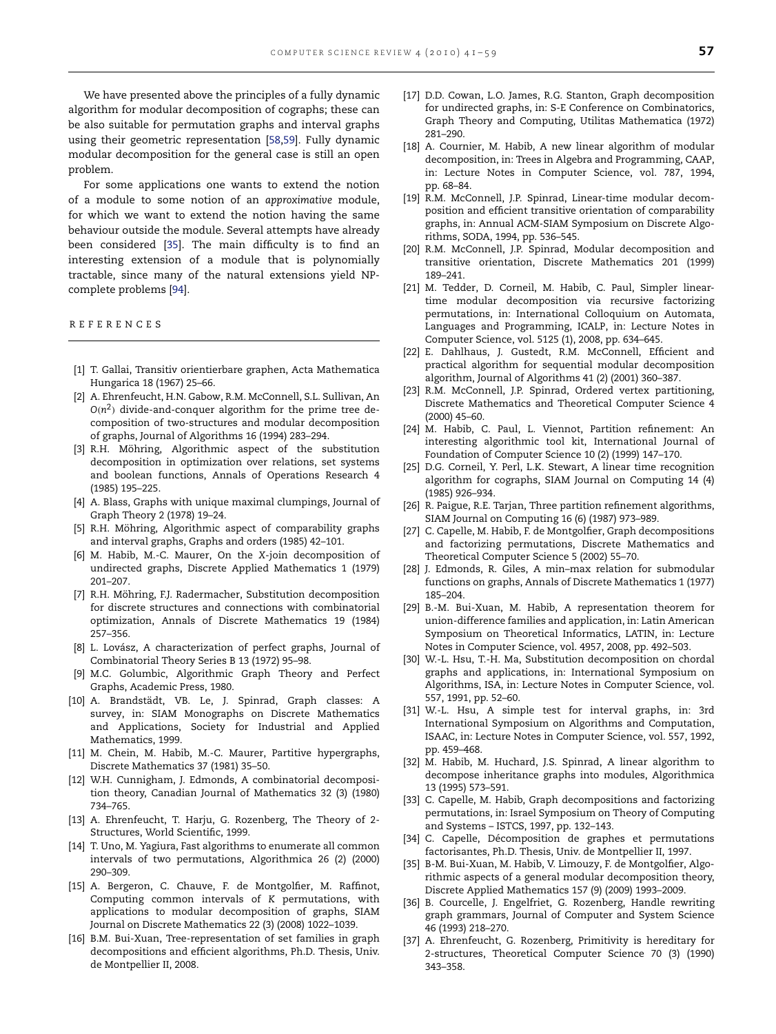We have presented above the principles of a fully dynamic algorithm for modular decomposition of cographs; these can be also suitable for permutation graphs and interval graphs using their geometric representation [\[58,](#page-17-19)[59\]](#page-17-20). Fully dynamic modular decomposition for the general case is still an open problem.

For some applications one wants to extend the notion of a module to some notion of an *approximative* module, for which we want to extend the notion having the same behaviour outside the module. Several attempts have already been considered [\[35\]](#page-16-31). The main difficulty is to find an interesting extension of a module that is polynomially tractable, since many of the natural extensions yield NPcomplete problems [\[94\]](#page-18-12).

R E F E R E N C E S

- <span id="page-16-0"></span>[1] T. Gallai, Transitiv orientierbare graphen, Acta Mathematica Hungarica 18 (1967) 25–66.
- <span id="page-16-1"></span>[2] A. Ehrenfeucht, H.N. Gabow, R.M. McConnell, S.L. Sullivan, An  $O(n^2)$  divide-and-conquer algorithm for the prime tree decomposition of two-structures and modular decomposition of graphs, Journal of Algorithms 16 (1994) 283–294.
- <span id="page-16-2"></span>[3] R.H. Möhring, Algorithmic aspect of the substitution decomposition in optimization over relations, set systems and boolean functions, Annals of Operations Research 4 (1985) 195–225.
- <span id="page-16-3"></span>[4] A. Blass, Graphs with unique maximal clumpings, Journal of Graph Theory 2 (1978) 19–24.
- <span id="page-16-4"></span>[5] R.H. Möhring, Algorithmic aspect of comparability graphs and interval graphs, Graphs and orders (1985) 42–101.
- <span id="page-16-5"></span>[6] M. Habib, M.-C. Maurer, On the *X*-join decomposition of undirected graphs, Discrete Applied Mathematics 1 (1979) 201–207.
- <span id="page-16-6"></span>[7] R.H. Möhring, F.J. Radermacher, Substitution decomposition for discrete structures and connections with combinatorial optimization, Annals of Discrete Mathematics 19 (1984) 257–356.
- <span id="page-16-7"></span>[8] L. Lovász, A characterization of perfect graphs, Journal of Combinatorial Theory Series B 13 (1972) 95–98.
- <span id="page-16-8"></span>[9] M.C. Golumbic, Algorithmic Graph Theory and Perfect Graphs, Academic Press, 1980.
- <span id="page-16-9"></span>[10] A. Brandstädt, VB. Le, J. Spinrad, Graph classes: A survey, in: SIAM Monographs on Discrete Mathematics and Applications, Society for Industrial and Applied Mathematics, 1999.
- <span id="page-16-10"></span>[11] M. Chein, M. Habib, M.-C. Maurer, Partitive hypergraphs, Discrete Mathematics 37 (1981) 35–50.
- <span id="page-16-11"></span>[12] W.H. Cunnigham, J. Edmonds, A combinatorial decomposition theory, Canadian Journal of Mathematics 32 (3) (1980) 734–765.
- <span id="page-16-12"></span>[13] A. Ehrenfeucht, T. Harju, G. Rozenberg, The Theory of 2- Structures, World Scientific, 1999.
- <span id="page-16-13"></span>[14] T. Uno, M. Yagiura, Fast algorithms to enumerate all common intervals of two permutations, Algorithmica 26 (2) (2000) 290–309.
- <span id="page-16-14"></span>[15] A. Bergeron, C. Chauve, F. de Montgolfier, M. Raffinot, Computing common intervals of *K* permutations, with applications to modular decomposition of graphs, SIAM Journal on Discrete Mathematics 22 (3) (2008) 1022–1039.
- <span id="page-16-15"></span>[16] B.M. Bui-Xuan, Tree-representation of set families in graph decompositions and efficient algorithms, Ph.D. Thesis, Univ. de Montpellier II, 2008.
- <span id="page-16-16"></span>[17] D.D. Cowan, L.O. James, R.G. Stanton, Graph decomposition for undirected graphs, in: S-E Conference on Combinatorics, Graph Theory and Computing, Utilitas Mathematica (1972) 281–290.
- <span id="page-16-17"></span>[18] A. Cournier, M. Habib, A new linear algorithm of modular decomposition, in: Trees in Algebra and Programming, CAAP, in: Lecture Notes in Computer Science, vol. 787, 1994, pp. 68–84.
- <span id="page-16-18"></span>[19] R.M. McConnell, J.P. Spinrad, Linear-time modular decomposition and efficient transitive orientation of comparability graphs, in: Annual ACM-SIAM Symposium on Discrete Algorithms, SODA, 1994, pp. 536–545.
- <span id="page-16-19"></span>[20] R.M. McConnell, J.P. Spinrad, Modular decomposition and transitive orientation, Discrete Mathematics 201 (1999) 189–241.
- <span id="page-16-20"></span>[21] M. Tedder, D. Corneil, M. Habib, C. Paul, Simpler lineartime modular decomposition via recursive factorizing permutations, in: International Colloquium on Automata, Languages and Programming, ICALP, in: Lecture Notes in Computer Science, vol. 5125 (1), 2008, pp. 634–645.
- <span id="page-16-21"></span>[22] E. Dahlhaus, J. Gustedt, R.M. McConnell, Efficient and practical algorithm for sequential modular decomposition algorithm, Journal of Algorithms 41 (2) (2001) 360–387.
- <span id="page-16-34"></span>[23] R.M. McConnell, J.P. Spinrad, Ordered vertex partitioning, Discrete Mathematics and Theoretical Computer Science 4 (2000) 45–60.
- <span id="page-16-23"></span>[24] M. Habib, C. Paul, L. Viennot, Partition refinement: An interesting algorithmic tool kit, International Journal of Foundation of Computer Science 10 (2) (1999) 147–170.
- <span id="page-16-22"></span>[25] D.G. Corneil, Y. Perl, L.K. Stewart, A linear time recognition algorithm for cographs, SIAM Journal on Computing 14 (4) (1985) 926–934.
- <span id="page-16-24"></span>[26] R. Paigue, R.E. Tarjan, Three partition refinement algorithms, SIAM Journal on Computing 16 (6) (1987) 973–989.
- <span id="page-16-25"></span>[27] C. Capelle, M. Habib, F. de Montgolfier, Graph decompositions and factorizing permutations, Discrete Mathematics and Theoretical Computer Science 5 (2002) 55–70.
- <span id="page-16-26"></span>[28] J. Edmonds, R. Giles, A min–max relation for submodular functions on graphs, Annals of Discrete Mathematics 1 (1977) 185–204.
- <span id="page-16-27"></span>[29] B.-M. Bui-Xuan, M. Habib, A representation theorem for union-difference families and application, in: Latin American Symposium on Theoretical Informatics, LATIN, in: Lecture Notes in Computer Science, vol. 4957, 2008, pp. 492–503.
- <span id="page-16-28"></span>[30] W.-L. Hsu, T.-H. Ma, Substitution decomposition on chordal graphs and applications, in: International Symposium on Algorithms, ISA, in: Lecture Notes in Computer Science, vol. 557, 1991, pp. 52–60.
- [31] W.-L. Hsu, A simple test for interval graphs, in: 3rd International Symposium on Algorithms and Computation, ISAAC, in: Lecture Notes in Computer Science, vol. 557, 1992, pp. 459–468.
- <span id="page-16-35"></span>[32] M. Habib, M. Huchard, J.S. Spinrad, A linear algorithm to decompose inheritance graphs into modules, Algorithmica 13 (1995) 573–591.
- <span id="page-16-29"></span>[33] C. Capelle, M. Habib, Graph decompositions and factorizing permutations, in: Israel Symposium on Theory of Computing and Systems – ISTCS, 1997, pp. 132–143.
- <span id="page-16-30"></span>[34] C. Capelle, Décomposition de graphes et permutations factorisantes, Ph.D. Thesis, Univ. de Montpellier II, 1997.
- <span id="page-16-31"></span>[35] B-M. Bui-Xuan, M. Habib, V. Limouzy, F. de Montgolfier, Algorithmic aspects of a general modular decomposition theory, Discrete Applied Mathematics 157 (9) (2009) 1993–2009.
- <span id="page-16-32"></span>[36] B. Courcelle, J. Engelfriet, G. Rozenberg, Handle rewriting graph grammars, Journal of Computer and System Science 46 (1993) 218–270.
- <span id="page-16-33"></span>[37] A. Ehrenfeucht, G. Rozenberg, Primitivity is hereditary for 2-structures, Theoretical Computer Science 70 (3) (1990) 343–358.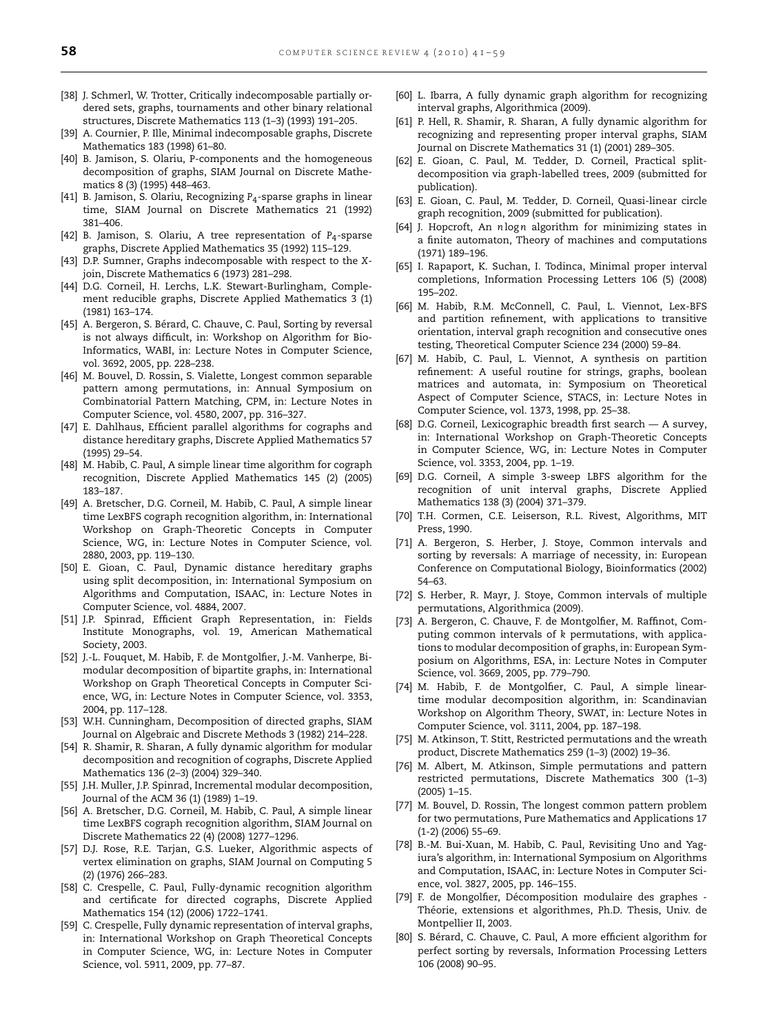- <span id="page-17-1"></span>[38] J. Schmerl, W. Trotter, Critically indecomposable partially ordered sets, graphs, tournaments and other binary relational structures, Discrete Mathematics 113 (1–3) (1993) 191–205.
- <span id="page-17-0"></span>[39] A. Cournier, P. Ille, Minimal indecomposable graphs, Discrete Mathematics 183 (1998) 61–80.
- <span id="page-17-2"></span>[40] B. Jamison, S. Olariu, P-components and the homogeneous decomposition of graphs, SIAM Journal on Discrete Mathematics 8 (3) (1995) 448–463.
- <span id="page-17-3"></span>[41] B. Jamison, S. Olariu, Recognizing *P*4-sparse graphs in linear time, SIAM Journal on Discrete Mathematics 21 (1992) 381–406.
- <span id="page-17-4"></span>[42] B. Jamison, S. Olariu, A tree representation of *P*4-sparse graphs, Discrete Applied Mathematics 35 (1992) 115–129.
- <span id="page-17-5"></span>[43] D.P. Sumner, Graphs indecomposable with respect to the *X*join, Discrete Mathematics 6 (1973) 281–298.
- <span id="page-17-6"></span>[44] D.G. Corneil, H. Lerchs, L.K. Stewart-Burlingham, Complement reducible graphs, Discrete Applied Mathematics 3 (1) (1981) 163–174.
- <span id="page-17-7"></span>[45] A. Bergeron, S. Bérard, C. Chauve, C. Paul, Sorting by reversal is not always difficult, in: Workshop on Algorithm for Bio-Informatics, WABI, in: Lecture Notes in Computer Science, vol. 3692, 2005, pp. 228–238.
- <span id="page-17-8"></span>[46] M. Bouvel, D. Rossin, S. Vialette, Longest common separable pattern among permutations, in: Annual Symposium on Combinatorial Pattern Matching, CPM, in: Lecture Notes in Computer Science, vol. 4580, 2007, pp. 316–327.
- <span id="page-17-9"></span>[47] E. Dahlhaus, Efficient parallel algorithms for cographs and distance hereditary graphs, Discrete Applied Mathematics 57 (1995) 29–54.
- <span id="page-17-16"></span>[48] M. Habib, C. Paul, A simple linear time algorithm for cograph recognition, Discrete Applied Mathematics 145 (2) (2005) 183–187.
- [49] A. Bretscher, D.G. Corneil, M. Habib, C. Paul, A simple linear time LexBFS cograph recognition algorithm, in: International Workshop on Graph-Theoretic Concepts in Computer Science, WG, in: Lecture Notes in Computer Science, vol. 2880, 2003, pp. 119–130.
- <span id="page-17-10"></span>[50] E. Gioan, C. Paul, Dynamic distance hereditary graphs using split decomposition, in: International Symposium on Algorithms and Computation, ISAAC, in: Lecture Notes in Computer Science, vol. 4884, 2007.
- <span id="page-17-11"></span>[51] J.P. Spinrad, Efficient Graph Representation, in: Fields Institute Monographs, vol. 19, American Mathematical Society, 2003.
- <span id="page-17-12"></span>[52] J.-L. Fouquet, M. Habib, F. de Montgolfier, J.-M. Vanherpe, Bimodular decomposition of bipartite graphs, in: International Workshop on Graph Theoretical Concepts in Computer Science, WG, in: Lecture Notes in Computer Science, vol. 3353, 2004, pp. 117–128.
- <span id="page-17-13"></span>[53] W.H. Cunningham, Decomposition of directed graphs, SIAM Journal on Algebraic and Discrete Methods 3 (1982) 214–228.
- <span id="page-17-14"></span>[54] R. Shamir, R. Sharan, A fully dynamic algorithm for modular decomposition and recognition of cographs, Discrete Applied Mathematics 136 (2–3) (2004) 329–340.
- <span id="page-17-15"></span>[55] J.H. Muller, J.P. Spinrad, Incremental modular decomposition, Journal of the ACM 36 (1) (1989) 1–19.
- <span id="page-17-17"></span>[56] A. Bretscher, D.G. Corneil, M. Habib, C. Paul, A simple linear time LexBFS cograph recognition algorithm, SIAM Journal on Discrete Mathematics 22 (4) (2008) 1277–1296.
- <span id="page-17-18"></span>[57] D.J. Rose, R.E. Tarjan, G.S. Lueker, Algorithmic aspects of vertex elimination on graphs, SIAM Journal on Computing 5 (2) (1976) 266–283.
- <span id="page-17-19"></span>[58] C. Crespelle, C. Paul, Fully-dynamic recognition algorithm and certificate for directed cographs, Discrete Applied Mathematics 154 (12) (2006) 1722–1741.
- <span id="page-17-20"></span>[59] C. Crespelle, Fully dynamic representation of interval graphs, in: International Workshop on Graph Theoretical Concepts in Computer Science, WG, in: Lecture Notes in Computer Science, vol. 5911, 2009, pp. 77–87.
- <span id="page-17-21"></span>[60] L. Ibarra, A fully dynamic graph algorithm for recognizing interval graphs, Algorithmica (2009).
- <span id="page-17-22"></span>[61] P. Hell, R. Shamir, R. Sharan, A fully dynamic algorithm for recognizing and representing proper interval graphs, SIAM Journal on Discrete Mathematics 31 (1) (2001) 289–305.
- <span id="page-17-23"></span>[62] E. Gioan, C. Paul, M. Tedder, D. Corneil, Practical splitdecomposition via graph-labelled trees, 2009 (submitted for publication).
- <span id="page-17-24"></span>[63] E. Gioan, C. Paul, M. Tedder, D. Corneil, Quasi-linear circle graph recognition, 2009 (submitted for publication).
- <span id="page-17-25"></span>[64] J. Hopcroft, An *n* logn algorithm for minimizing states in a finite automaton, Theory of machines and computations (1971) 189–196.
- <span id="page-17-26"></span>[65] I. Rapaport, K. Suchan, I. Todinca, Minimal proper interval completions, Information Processing Letters 106 (5) (2008) 195–202.
- <span id="page-17-27"></span>[66] M. Habib, R.M. McConnell, C. Paul, L. Viennot, Lex-BFS and partition refinement, with applications to transitive orientation, interval graph recognition and consecutive ones testing, Theoretical Computer Science 234 (2000) 59–84.
- <span id="page-17-28"></span>[67] M. Habib, C. Paul, L. Viennot, A synthesis on partition refinement: A useful routine for strings, graphs, boolean matrices and automata, in: Symposium on Theoretical Aspect of Computer Science, STACS, in: Lecture Notes in Computer Science, vol. 1373, 1998, pp. 25–38.
- <span id="page-17-29"></span>[68] D.G. Corneil, Lexicographic breadth first search — A survey, in: International Workshop on Graph-Theoretic Concepts in Computer Science, WG, in: Lecture Notes in Computer Science, vol. 3353, 2004, pp. 1–19.
- <span id="page-17-30"></span>[69] D.G. Corneil, A simple 3-sweep LBFS algorithm for the recognition of unit interval graphs, Discrete Applied Mathematics 138 (3) (2004) 371–379.
- <span id="page-17-31"></span>[70] T.H. Cormen, C.E. Leiserson, R.L. Rivest, Algorithms, MIT Press, 1990.
- <span id="page-17-32"></span>[71] A. Bergeron, S. Herber, J. Stoye, Common intervals and sorting by reversals: A marriage of necessity, in: European Conference on Computational Biology, Bioinformatics (2002) 54–63.
- <span id="page-17-33"></span>[72] S. Herber, R. Mayr, J. Stoye, Common intervals of multiple permutations, Algorithmica (2009).
- <span id="page-17-34"></span>[73] A. Bergeron, C. Chauve, F. de Montgolfier, M. Raffinot, Computing common intervals of *k* permutations, with applications to modular decomposition of graphs, in: European Symposium on Algorithms, ESA, in: Lecture Notes in Computer Science, vol. 3669, 2005, pp. 779–790.
- <span id="page-17-35"></span>[74] M. Habib, F. de Montgolfier, C. Paul, A simple lineartime modular decomposition algorithm, in: Scandinavian Workshop on Algorithm Theory, SWAT, in: Lecture Notes in Computer Science, vol. 3111, 2004, pp. 187–198.
- <span id="page-17-36"></span>[75] M. Atkinson, T. Stitt, Restricted permutations and the wreath product, Discrete Mathematics 259 (1–3) (2002) 19–36.
- <span id="page-17-37"></span>[76] M. Albert, M. Atkinson, Simple permutations and pattern restricted permutations, Discrete Mathematics 300 (1–3) (2005) 1–15.
- <span id="page-17-38"></span>[77] M. Bouvel, D. Rossin, The longest common pattern problem for two permutations, Pure Mathematics and Applications 17 (1-2) (2006) 55–69.
- <span id="page-17-39"></span>[78] B.-M. Bui-Xuan, M. Habib, C. Paul, Revisiting Uno and Yagiura's algorithm, in: International Symposium on Algorithms and Computation, ISAAC, in: Lecture Notes in Computer Science, vol. 3827, 2005, pp. 146–155.
- <span id="page-17-40"></span>[79] F. de Mongolfier, Décomposition modulaire des graphes - Théorie, extensions et algorithmes, Ph.D. Thesis, Univ. de Montpellier II, 2003.
- <span id="page-17-41"></span>[80] S. Bérard, C. Chauve, C. Paul, A more efficient algorithm for perfect sorting by reversals, Information Processing Letters 106 (2008) 90–95.